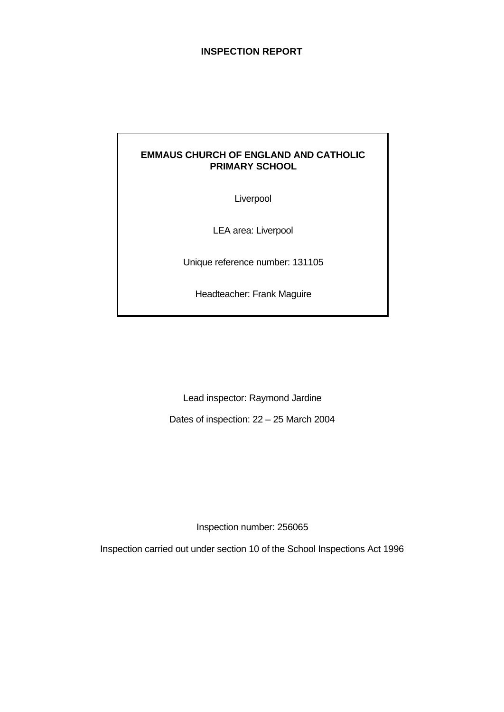# **INSPECTION REPORT**

# **EMMAUS CHURCH OF ENGLAND AND CATHOLIC PRIMARY SCHOOL**

Liverpool

LEA area: Liverpool

Unique reference number: 131105

Headteacher: Frank Maguire

Lead inspector: Raymond Jardine

Dates of inspection: 22 – 25 March 2004

Inspection number: 256065

Inspection carried out under section 10 of the School Inspections Act 1996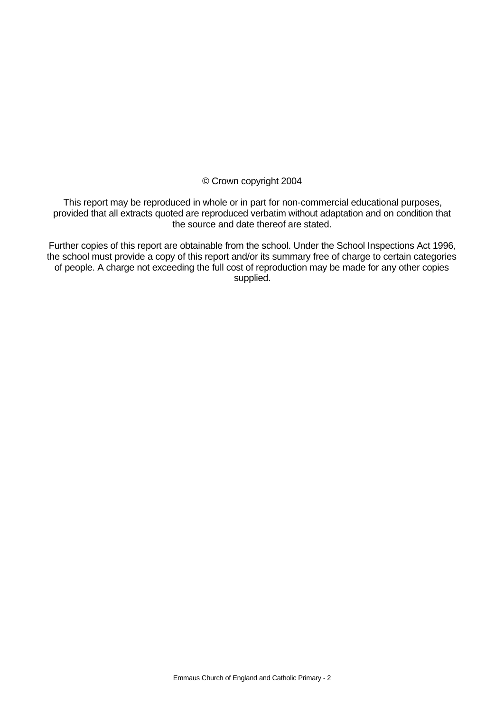© Crown copyright 2004

This report may be reproduced in whole or in part for non-commercial educational purposes, provided that all extracts quoted are reproduced verbatim without adaptation and on condition that the source and date thereof are stated.

Further copies of this report are obtainable from the school. Under the School Inspections Act 1996, the school must provide a copy of this report and/or its summary free of charge to certain categories of people. A charge not exceeding the full cost of reproduction may be made for any other copies supplied.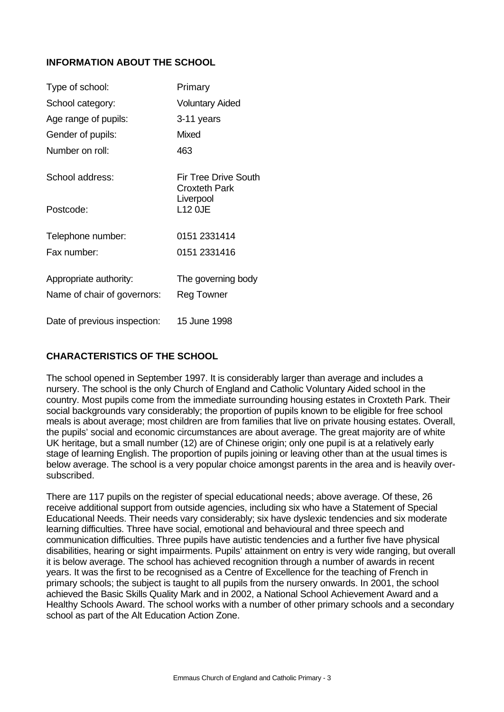# **INFORMATION ABOUT THE SCHOOL**

| Type of school:              | Primary                                             |
|------------------------------|-----------------------------------------------------|
| School category:             | <b>Voluntary Aided</b>                              |
| Age range of pupils:         | 3-11 years                                          |
| Gender of pupils:            | Mixed                                               |
| Number on roll:              | 463                                                 |
| School address:              | <b>Fir Tree Drive South</b><br><b>Croxteth Park</b> |
| Postcode:                    | Liverpool<br><b>L12 OJE</b>                         |
| Telephone number:            | 0151 2331414                                        |
| Fax number:                  | 0151 2331416                                        |
| Appropriate authority:       | The governing body                                  |
| Name of chair of governors:  | <b>Reg Towner</b>                                   |
| Date of previous inspection: | 15 June 1998                                        |

# **CHARACTERISTICS OF THE SCHOOL**

The school opened in September 1997. It is considerably larger than average and includes a nursery. The school is the only Church of England and Catholic Voluntary Aided school in the country. Most pupils come from the immediate surrounding housing estates in Croxteth Park. Their social backgrounds vary considerably; the proportion of pupils known to be eligible for free school meals is about average; most children are from families that live on private housing estates. Overall, the pupils' social and economic circumstances are about average. The great majority are of white UK heritage, but a small number (12) are of Chinese origin; only one pupil is at a relatively early stage of learning English. The proportion of pupils joining or leaving other than at the usual times is below average. The school is a very popular choice amongst parents in the area and is heavily oversubscribed.

There are 117 pupils on the register of special educational needs; above average. Of these, 26 receive additional support from outside agencies, including six who have a Statement of Special Educational Needs. Their needs vary considerably; six have dyslexic tendencies and six moderate learning difficulties. Three have social, emotional and behavioural and three speech and communication difficulties. Three pupils have autistic tendencies and a further five have physical disabilities, hearing or sight impairments. Pupils' attainment on entry is very wide ranging, but overall it is below average. The school has achieved recognition through a number of awards in recent years. It was the first to be recognised as a Centre of Excellence for the teaching of French in primary schools; the subject is taught to all pupils from the nursery onwards. In 2001, the school achieved the Basic Skills Quality Mark and in 2002, a National School Achievement Award and a Healthy Schools Award. The school works with a number of other primary schools and a secondary school as part of the Alt Education Action Zone.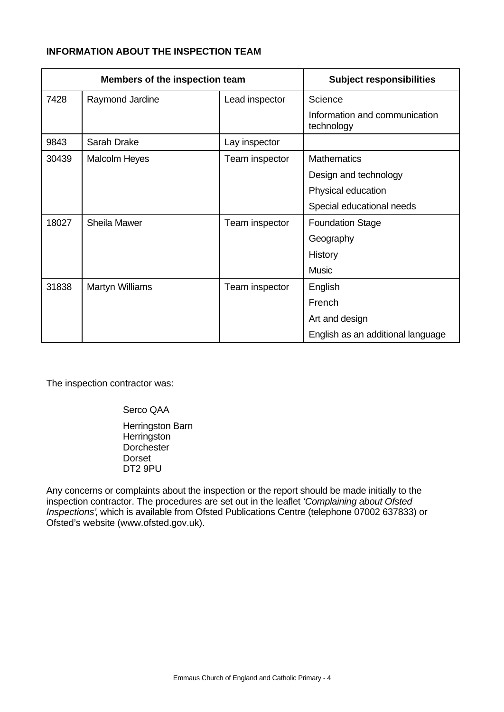# **INFORMATION ABOUT THE INSPECTION TEAM**

| Members of the inspection team |                        | <b>Subject responsibilities</b> |                                             |
|--------------------------------|------------------------|---------------------------------|---------------------------------------------|
| 7428                           | Raymond Jardine        | Lead inspector                  | Science                                     |
|                                |                        |                                 | Information and communication<br>technology |
| 9843                           | Sarah Drake            | Lay inspector                   |                                             |
| 30439                          | <b>Malcolm Heyes</b>   | Team inspector                  | <b>Mathematics</b>                          |
|                                |                        |                                 | Design and technology                       |
|                                |                        |                                 | Physical education                          |
|                                |                        |                                 | Special educational needs                   |
| 18027                          | <b>Sheila Mawer</b>    | Team inspector                  | <b>Foundation Stage</b>                     |
|                                |                        |                                 | Geography                                   |
|                                |                        |                                 | History                                     |
|                                |                        |                                 | <b>Music</b>                                |
| 31838                          | <b>Martyn Williams</b> | Team inspector                  | English                                     |
|                                |                        |                                 | French                                      |
|                                |                        |                                 | Art and design                              |
|                                |                        |                                 | English as an additional language           |

The inspection contractor was:

Serco QAA Herringston Barn **Herringston** Dorchester Dorset DT2 9PU

Any concerns or complaints about the inspection or the report should be made initially to the inspection contractor. The procedures are set out in the leaflet *'Complaining about Ofsted Inspections'*, which is available from Ofsted Publications Centre (telephone 07002 637833) or Ofsted's website (www.ofsted.gov.uk).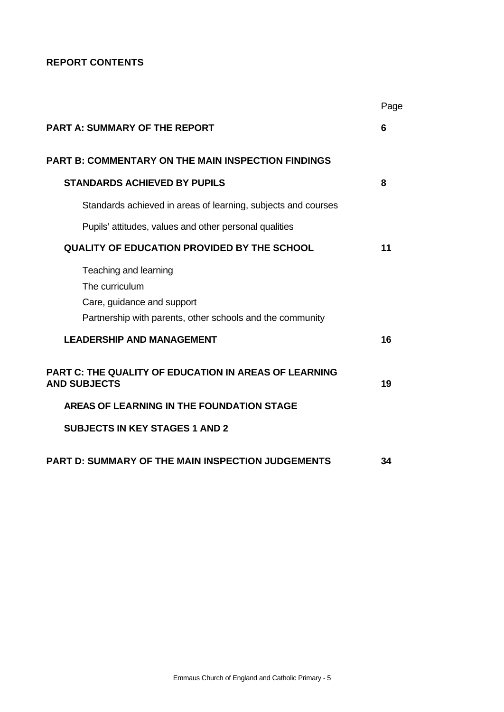# **REPORT CONTENTS**

|                                                                                                                                    | Page |
|------------------------------------------------------------------------------------------------------------------------------------|------|
| <b>PART A: SUMMARY OF THE REPORT</b>                                                                                               | 6    |
| <b>PART B: COMMENTARY ON THE MAIN INSPECTION FINDINGS</b>                                                                          |      |
| <b>STANDARDS ACHIEVED BY PUPILS</b>                                                                                                | 8    |
| Standards achieved in areas of learning, subjects and courses                                                                      |      |
| Pupils' attitudes, values and other personal qualities                                                                             |      |
| <b>QUALITY OF EDUCATION PROVIDED BY THE SCHOOL</b>                                                                                 | 11   |
| Teaching and learning<br>The curriculum<br>Care, guidance and support<br>Partnership with parents, other schools and the community |      |
| <b>LEADERSHIP AND MANAGEMENT</b>                                                                                                   | 16   |
| <b>PART C: THE QUALITY OF EDUCATION IN AREAS OF LEARNING</b><br><b>AND SUBJECTS</b>                                                | 19   |
| AREAS OF LEARNING IN THE FOUNDATION STAGE                                                                                          |      |
| <b>SUBJECTS IN KEY STAGES 1 AND 2</b>                                                                                              |      |
| <b>PART D: SUMMARY OF THE MAIN INSPECTION JUDGEMENTS</b>                                                                           | 34   |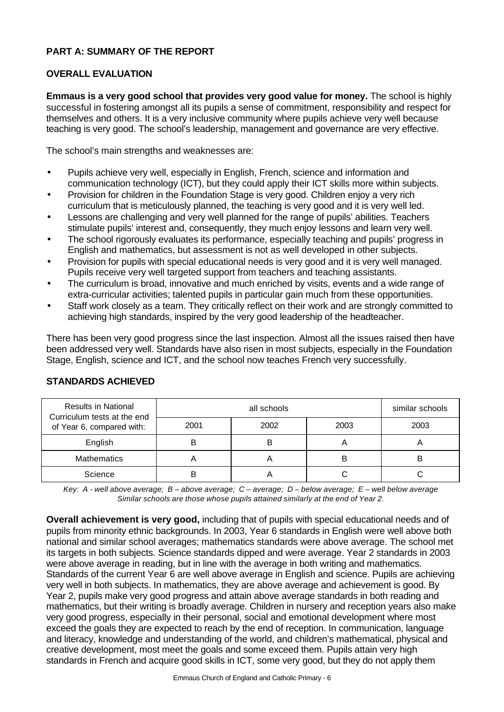# **PART A: SUMMARY OF THE REPORT**

# **OVERALL EVALUATION**

**Emmaus is a very good school that provides very good value for money.** The school is highly successful in fostering amongst all its pupils a sense of commitment, responsibility and respect for themselves and others. It is a very inclusive community where pupils achieve very well because teaching is very good. The school's leadership, management and governance are very effective.

The school's main strengths and weaknesses are:

- Pupils achieve very well, especially in English, French, science and information and communication technology (ICT), but they could apply their ICT skills more within subjects.
- Provision for children in the Foundation Stage is very good. Children enjoy a very rich curriculum that is meticulously planned, the teaching is very good and it is very well led.
- Lessons are challenging and very well planned for the range of pupils' abilities. Teachers stimulate pupils' interest and, consequently, they much enjoy lessons and learn very well.
- The school rigorously evaluates its performance, especially teaching and pupils' progress in English and mathematics, but assessment is not as well developed in other subjects.
- Provision for pupils with special educational needs is very good and it is very well managed. Pupils receive very well targeted support from teachers and teaching assistants.
- The curriculum is broad, innovative and much enriched by visits, events and a wide range of extra-curricular activities; talented pupils in particular gain much from these opportunities.
- Staff work closely as a team. They critically reflect on their work and are strongly committed to achieving high standards, inspired by the very good leadership of the headteacher.

There has been very good progress since the last inspection. Almost all the issues raised then have been addressed very well. Standards have also risen in most subjects, especially in the Foundation Stage, English, science and ICT, and the school now teaches French very successfully.

| <b>Results in National</b><br>Curriculum tests at the end<br>of Year 6, compared with: |      | similar schools |      |      |
|----------------------------------------------------------------------------------------|------|-----------------|------|------|
|                                                                                        | 2001 | 2002            | 2003 | 2003 |
| English                                                                                |      |                 |      |      |
| <b>Mathematics</b>                                                                     |      |                 | В    |      |
| Science                                                                                |      |                 |      |      |

# **STANDARDS ACHIEVED**

*Key: A - well above average; B – above average; C – average; D – below average; E – well below average Similar schools are those whose pupils attained similarly at the end of Year 2.*

**Overall achievement is very good,** including that of pupils with special educational needs and of pupils from minority ethnic backgrounds. In 2003, Year 6 standards in English were well above both national and similar school averages; mathematics standards were above average. The school met its targets in both subjects. Science standards dipped and were average. Year 2 standards in 2003 were above average in reading, but in line with the average in both writing and mathematics. Standards of the current Year 6 are well above average in English and science. Pupils are achieving very well in both subjects. In mathematics, they are above average and achievement is good. By Year 2, pupils make very good progress and attain above average standards in both reading and mathematics, but their writing is broadly average. Children in nursery and reception years also make very good progress, especially in their personal, social and emotional development where most exceed the goals they are expected to reach by the end of reception. In communication, language and literacy, knowledge and understanding of the world, and children's mathematical, physical and creative development, most meet the goals and some exceed them. Pupils attain very high standards in French and acquire good skills in ICT, some very good, but they do not apply them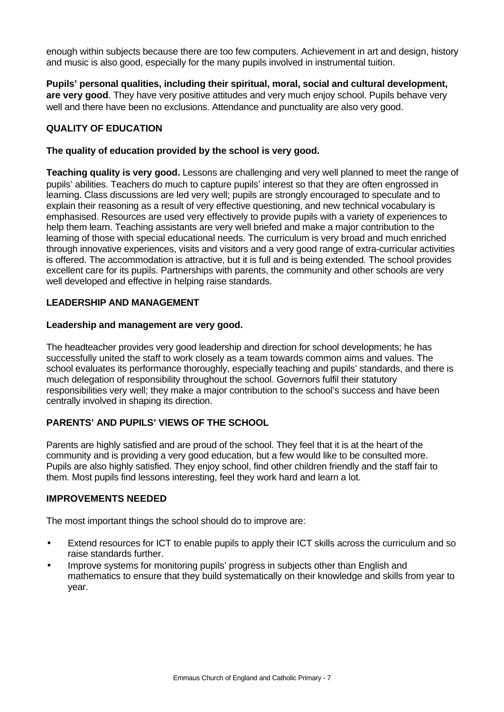enough within subjects because there are too few computers. Achievement in art and design, history and music is also good, especially for the many pupils involved in instrumental tuition.

**Pupils' personal qualities, including their spiritual, moral, social and cultural development,** are very good. They have very positive attitudes and very much enjoy school. Pupils behave very well and there have been no exclusions. Attendance and punctuality are also very good.

# **QUALITY OF EDUCATION**

# **The quality of education provided by the school is very good.**

**Teaching quality is very good.** Lessons are challenging and very well planned to meet the range of pupils' abilities. Teachers do much to capture pupils' interest so that they are often engrossed in learning. Class discussions are led very well; pupils are strongly encouraged to speculate and to explain their reasoning as a result of very effective questioning, and new technical vocabulary is emphasised. Resources are used very effectively to provide pupils with a variety of experiences to help them learn. Teaching assistants are very well briefed and make a major contribution to the learning of those with special educational needs. The curriculum is very broad and much enriched through innovative experiences, visits and visitors and a very good range of extra-curricular activities is offered. The accommodation is attractive, but it is full and is being extended. The school provides excellent care for its pupils. Partnerships with parents, the community and other schools are very well developed and effective in helping raise standards.

#### **LEADERSHIP AND MANAGEMENT**

#### **Leadership and management are very good.**

The headteacher provides very good leadership and direction for school developments; he has successfully united the staff to work closely as a team towards common aims and values. The school evaluates its performance thoroughly, especially teaching and pupils' standards, and there is much delegation of responsibility throughout the school. Governors fulfil their statutory responsibilities very well; they make a major contribution to the school's success and have been centrally involved in shaping its direction.

# **PARENTS' AND PUPILS' VIEWS OF THE SCHOOL**

Parents are highly satisfied and are proud of the school. They feel that it is at the heart of the community and is providing a very good education, but a few would like to be consulted more. Pupils are also highly satisfied. They enjoy school, find other children friendly and the staff fair to them. Most pupils find lessons interesting, feel they work hard and learn a lot.

# **IMPROVEMENTS NEEDED**

The most important things the school should do to improve are:

- Extend resources for ICT to enable pupils to apply their ICT skills across the curriculum and so raise standards further.
- Improve systems for monitoring pupils' progress in subjects other than English and mathematics to ensure that they build systematically on their knowledge and skills from year to year.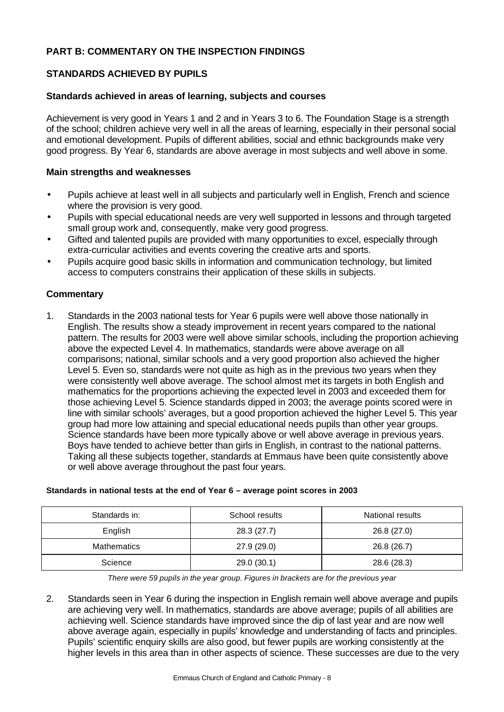# **PART B: COMMENTARY ON THE INSPECTION FINDINGS**

# **STANDARDS ACHIEVED BY PUPILS**

#### **Standards achieved in areas of learning, subjects and courses**

Achievement is very good in Years 1 and 2 and in Years 3 to 6. The Foundation Stage is a strength of the school; children achieve very well in all the areas of learning, especially in their personal social and emotional development. Pupils of different abilities, social and ethnic backgrounds make very good progress. By Year 6, standards are above average in most subjects and well above in some.

#### **Main strengths and weaknesses**

- Pupils achieve at least well in all subjects and particularly well in English, French and science where the provision is very good.
- Pupils with special educational needs are very well supported in lessons and through targeted small group work and, consequently, make very good progress.
- Gifted and talented pupils are provided with many opportunities to excel, especially through extra-curricular activities and events covering the creative arts and sports.
- Pupils acquire good basic skills in information and communication technology, but limited access to computers constrains their application of these skills in subjects.

# **Commentary**

1. Standards in the 2003 national tests for Year 6 pupils were well above those nationally in English. The results show a steady improvement in recent years compared to the national pattern. The results for 2003 were well above similar schools, including the proportion achieving above the expected Level 4. In mathematics, standards were above average on all comparisons; national, similar schools and a very good proportion also achieved the higher Level 5. Even so, standards were not quite as high as in the previous two years when they were consistently well above average. The school almost met its targets in both English and mathematics for the proportions achieving the expected level in 2003 and exceeded them for those achieving Level 5. Science standards dipped in 2003; the average points scored were in line with similar schools' averages, but a good proportion achieved the higher Level 5. This year group had more low attaining and special educational needs pupils than other year groups. Science standards have been more typically above or well above average in previous years. Boys have tended to achieve better than girls in English, in contrast to the national patterns. Taking all these subjects together, standards at Emmaus have been quite consistently above or well above average throughout the past four years.

| Standards in:      | School results | National results |
|--------------------|----------------|------------------|
| English            | 28.3 (27.7)    | 26.8 (27.0)      |
| <b>Mathematics</b> | 27.9 (29.0)    | 26.8 (26.7)      |
| Science            | 29.0(30.1)     | 28.6 (28.3)      |

#### **Standards in national tests at the end of Year 6 – average point scores in 2003**

*There were 59 pupils in the year group. Figures in brackets are for the previous year*

2. Standards seen in Year 6 during the inspection in English remain well above average and pupils are achieving very well. In mathematics, standards are above average; pupils of all abilities are achieving well. Science standards have improved since the dip of last year and are now well above average again, especially in pupils' knowledge and understanding of facts and principles. Pupils' scientific enquiry skills are also good, but fewer pupils are working consistently at the higher levels in this area than in other aspects of science. These successes are due to the very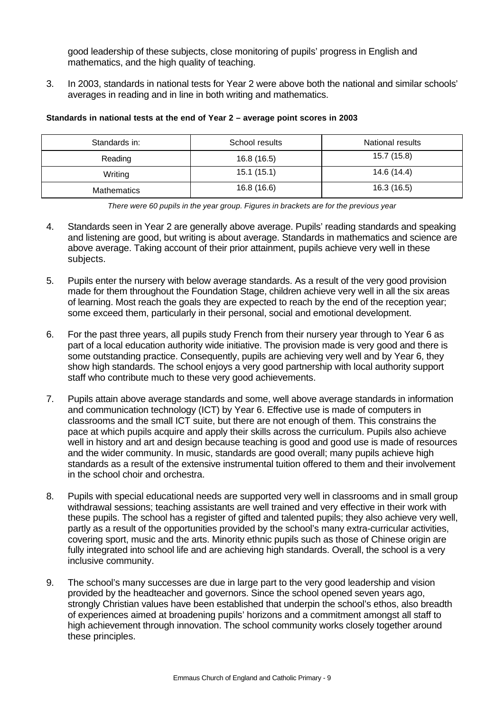good leadership of these subjects, close monitoring of pupils' progress in English and mathematics, and the high quality of teaching.

3. In 2003, standards in national tests for Year 2 were above both the national and similar schools' averages in reading and in line in both writing and mathematics.

| Standards in: | School results | National results |
|---------------|----------------|------------------|
| Reading       | 16.8(16.5)     | 15.7 (15.8)      |
| Writing       | 15.1(15.1)     | 14.6 (14.4)      |
| Mathematics   | 16.8 (16.6)    | 16.3 (16.5)      |

#### **Standards in national tests at the end of Year 2 – average point scores in 2003**

*There were 60 pupils in the year group. Figures in brackets are for the previous year*

- 4. Standards seen in Year 2 are generally above average. Pupils' reading standards and speaking and listening are good, but writing is about average. Standards in mathematics and science are above average. Taking account of their prior attainment, pupils achieve very well in these subjects.
- 5. Pupils enter the nursery with below average standards. As a result of the very good provision made for them throughout the Foundation Stage, children achieve very well in all the six areas of learning. Most reach the goals they are expected to reach by the end of the reception year; some exceed them, particularly in their personal, social and emotional development.
- 6. For the past three years, all pupils study French from their nursery year through to Year 6 as part of a local education authority wide initiative. The provision made is very good and there is some outstanding practice. Consequently, pupils are achieving very well and by Year 6, they show high standards. The school enjoys a very good partnership with local authority support staff who contribute much to these very good achievements.
- 7. Pupils attain above average standards and some, well above average standards in information and communication technology (ICT) by Year 6. Effective use is made of computers in classrooms and the small ICT suite, but there are not enough of them. This constrains the pace at which pupils acquire and apply their skills across the curriculum. Pupils also achieve well in history and art and design because teaching is good and good use is made of resources and the wider community. In music, standards are good overall; many pupils achieve high standards as a result of the extensive instrumental tuition offered to them and their involvement in the school choir and orchestra.
- 8. Pupils with special educational needs are supported very well in classrooms and in small group withdrawal sessions; teaching assistants are well trained and very effective in their work with these pupils. The school has a register of gifted and talented pupils; they also achieve very well, partly as a result of the opportunities provided by the school's many extra-curricular activities, covering sport, music and the arts. Minority ethnic pupils such as those of Chinese origin are fully integrated into school life and are achieving high standards. Overall, the school is a very inclusive community.
- 9. The school's many successes are due in large part to the very good leadership and vision provided by the headteacher and governors. Since the school opened seven years ago, strongly Christian values have been established that underpin the school's ethos, also breadth of experiences aimed at broadening pupils' horizons and a commitment amongst all staff to high achievement through innovation. The school community works closely together around these principles.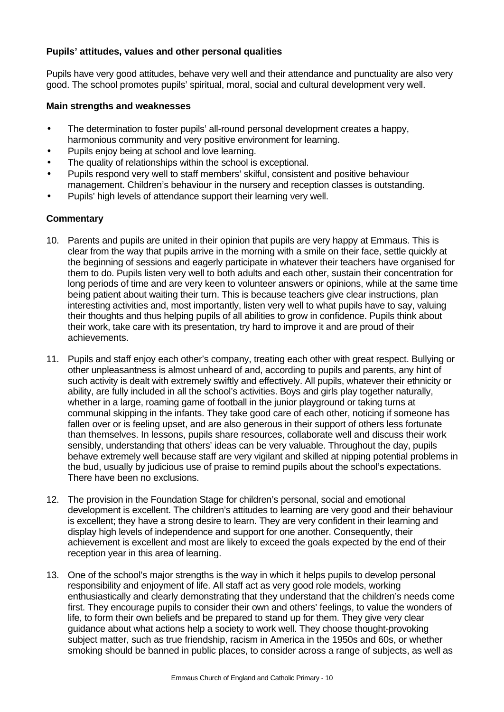# **Pupils' attitudes, values and other personal qualities**

Pupils have very good attitudes, behave very well and their attendance and punctuality are also very good. The school promotes pupils' spiritual, moral, social and cultural development very well.

#### **Main strengths and weaknesses**

- The determination to foster pupils' all-round personal development creates a happy, harmonious community and very positive environment for learning.
- Pupils enjoy being at school and love learning.
- The quality of relationships within the school is exceptional.
- Pupils respond very well to staff members' skilful, consistent and positive behaviour management. Children's behaviour in the nursery and reception classes is outstanding.
- Pupils' high levels of attendance support their learning very well.

- 10. Parents and pupils are united in their opinion that pupils are very happy at Emmaus. This is clear from the way that pupils arrive in the morning with a smile on their face, settle quickly at the beginning of sessions and eagerly participate in whatever their teachers have organised for them to do. Pupils listen very well to both adults and each other, sustain their concentration for long periods of time and are very keen to volunteer answers or opinions, while at the same time being patient about waiting their turn. This is because teachers give clear instructions, plan interesting activities and, most importantly, listen very well to what pupils have to say, valuing their thoughts and thus helping pupils of all abilities to grow in confidence. Pupils think about their work, take care with its presentation, try hard to improve it and are proud of their achievements.
- 11. Pupils and staff enjoy each other's company, treating each other with great respect. Bullying or other unpleasantness is almost unheard of and, according to pupils and parents, any hint of such activity is dealt with extremely swiftly and effectively. All pupils, whatever their ethnicity or ability, are fully included in all the school's activities. Boys and girls play together naturally, whether in a large, roaming game of football in the junior playground or taking turns at communal skipping in the infants. They take good care of each other, noticing if someone has fallen over or is feeling upset, and are also generous in their support of others less fortunate than themselves. In lessons, pupils share resources, collaborate well and discuss their work sensibly, understanding that others' ideas can be very valuable. Throughout the day, pupils behave extremely well because staff are very vigilant and skilled at nipping potential problems in the bud, usually by judicious use of praise to remind pupils about the school's expectations. There have been no exclusions.
- 12. The provision in the Foundation Stage for children's personal, social and emotional development is excellent. The children's attitudes to learning are very good and their behaviour is excellent; they have a strong desire to learn. They are very confident in their learning and display high levels of independence and support for one another. Consequently, their achievement is excellent and most are likely to exceed the goals expected by the end of their reception year in this area of learning.
- 13. One of the school's major strengths is the way in which it helps pupils to develop personal responsibility and enjoyment of life. All staff act as very good role models, working enthusiastically and clearly demonstrating that they understand that the children's needs come first. They encourage pupils to consider their own and others' feelings, to value the wonders of life, to form their own beliefs and be prepared to stand up for them. They give very clear guidance about what actions help a society to work well. They choose thought-provoking subject matter, such as true friendship, racism in America in the 1950s and 60s, or whether smoking should be banned in public places, to consider across a range of subjects, as well as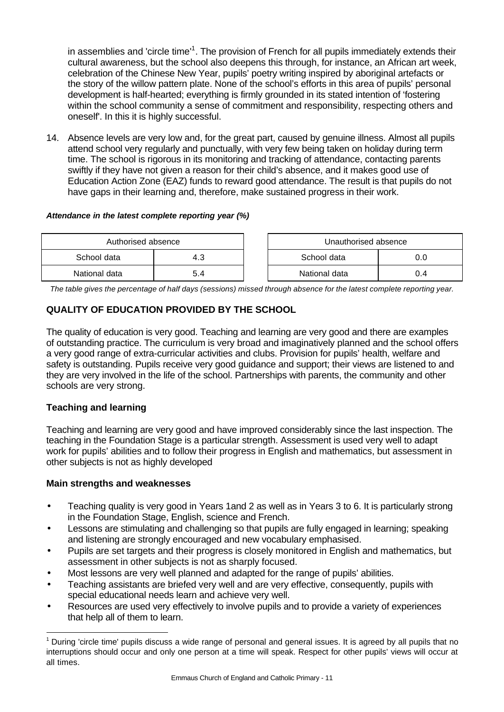in assemblies and 'circle time'<sup>1</sup>. The provision of French for all pupils immediately extends their cultural awareness, but the school also deepens this through, for instance, an African art week, celebration of the Chinese New Year, pupils' poetry writing inspired by aboriginal artefacts or the story of the willow pattern plate. None of the school's efforts in this area of pupils' personal development is half-hearted; everything is firmly grounded in its stated intention of 'fostering within the school community a sense of commitment and responsibility, respecting others and oneself'. In this it is highly successful.

14. Absence levels are very low and, for the great part, caused by genuine illness. Almost all pupils attend school very regularly and punctually, with very few being taken on holiday during term time. The school is rigorous in its monitoring and tracking of attendance, contacting parents swiftly if they have not given a reason for their child's absence, and it makes good use of Education Action Zone (EAZ) funds to reward good attendance. The result is that pupils do not have gaps in their learning and, therefore, make sustained progress in their work.

#### *Attendance in the latest complete reporting year (%)*

| Authorised absence |     | Unauthorised absence |     |  |
|--------------------|-----|----------------------|-----|--|
| School data        | 4.3 | School data<br>0.0   |     |  |
| National data      | 54  | National data        | 0.4 |  |

*The table gives the percentage of half days (sessions) missed through absence for the latest complete reporting year.*

# **QUALITY OF EDUCATION PROVIDED BY THE SCHOOL**

The quality of education is very good. Teaching and learning are very good and there are examples of outstanding practice. The curriculum is very broad and imaginatively planned and the school offers a very good range of extra-curricular activities and clubs. Provision for pupils' health, welfare and safety is outstanding. Pupils receive very good guidance and support; their views are listened to and they are very involved in the life of the school. Partnerships with parents, the community and other schools are very strong.

# **Teaching and learning**

l

Teaching and learning are very good and have improved considerably since the last inspection. The teaching in the Foundation Stage is a particular strength. Assessment is used very well to adapt work for pupils' abilities and to follow their progress in English and mathematics, but assessment in other subjects is not as highly developed

# **Main strengths and weaknesses**

- Teaching quality is very good in Years 1and 2 as well as in Years 3 to 6. It is particularly strong in the Foundation Stage, English, science and French.
- Lessons are stimulating and challenging so that pupils are fully engaged in learning; speaking and listening are strongly encouraged and new vocabulary emphasised.
- Pupils are set targets and their progress is closely monitored in English and mathematics, but assessment in other subjects is not as sharply focused.
- Most lessons are very well planned and adapted for the range of pupils' abilities.
- Teaching assistants are briefed very well and are very effective, consequently, pupils with special educational needs learn and achieve very well.
- Resources are used very effectively to involve pupils and to provide a variety of experiences that help all of them to learn.

<sup>&</sup>lt;sup>1</sup> During 'circle time' pupils discuss a wide range of personal and general issues. It is agreed by all pupils that no interruptions should occur and only one person at a time will speak. Respect for other pupils' views will occur at all times.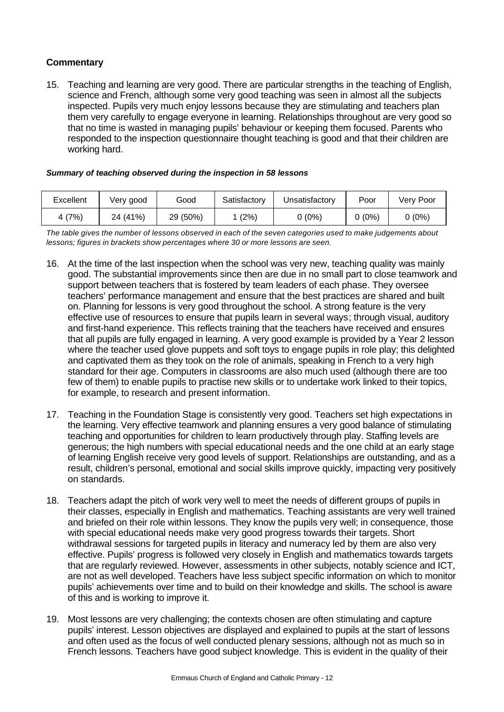# **Commentary**

15. Teaching and learning are very good. There are particular strengths in the teaching of English, science and French, although some very good teaching was seen in almost all the subjects inspected. Pupils very much enjoy lessons because they are stimulating and teachers plan them very carefully to engage everyone in learning. Relationships throughout are very good so that no time is wasted in managing pupils' behaviour or keeping them focused. Parents who responded to the inspection questionnaire thought teaching is good and that their children are working hard.

#### *Summary of teaching observed during the inspection in 58 lessons*

| Excellent | Verv good | Good     | Satisfactory | Unsatisfactorv | Poor          | Verv Poor |
|-----------|-----------|----------|--------------|----------------|---------------|-----------|
| 4 (7%)    | 24 (41%)  | 29 (50%) | $(2\%)$      | $0(0\%)$       | <u>)</u> (0%) | $0(0\%)$  |

*The table gives the number of lessons observed in each of the seven categories used to make judgements about lessons; figures in brackets show percentages where 30 or more lessons are seen.*

- 16. At the time of the last inspection when the school was very new, teaching quality was mainly good. The substantial improvements since then are due in no small part to close teamwork and support between teachers that is fostered by team leaders of each phase. They oversee teachers' performance management and ensure that the best practices are shared and built on. Planning for lessons is very good throughout the school. A strong feature is the very effective use of resources to ensure that pupils learn in several ways; through visual, auditory and first-hand experience. This reflects training that the teachers have received and ensures that all pupils are fully engaged in learning. A very good example is provided by a Year 2 lesson where the teacher used glove puppets and soft toys to engage pupils in role play; this delighted and captivated them as they took on the role of animals, speaking in French to a very high standard for their age. Computers in classrooms are also much used (although there are too few of them) to enable pupils to practise new skills or to undertake work linked to their topics, for example, to research and present information.
- 17. Teaching in the Foundation Stage is consistently very good. Teachers set high expectations in the learning. Very effective teamwork and planning ensures a very good balance of stimulating teaching and opportunities for children to learn productively through play. Staffing levels are generous; the high numbers with special educational needs and the one child at an early stage of learning English receive very good levels of support. Relationships are outstanding, and as a result, children's personal, emotional and social skills improve quickly, impacting very positively on standards.
- 18. Teachers adapt the pitch of work very well to meet the needs of different groups of pupils in their classes, especially in English and mathematics. Teaching assistants are very well trained and briefed on their role within lessons. They know the pupils very well; in consequence, those with special educational needs make very good progress towards their targets. Short withdrawal sessions for targeted pupils in literacy and numeracy led by them are also very effective. Pupils' progress is followed very closely in English and mathematics towards targets that are regularly reviewed. However, assessments in other subjects, notably science and ICT, are not as well developed. Teachers have less subject specific information on which to monitor pupils' achievements over time and to build on their knowledge and skills. The school is aware of this and is working to improve it.
- 19. Most lessons are very challenging; the contexts chosen are often stimulating and capture pupils' interest. Lesson objectives are displayed and explained to pupils at the start of lessons and often used as the focus of well conducted plenary sessions, although not as much so in French lessons. Teachers have good subject knowledge. This is evident in the quality of their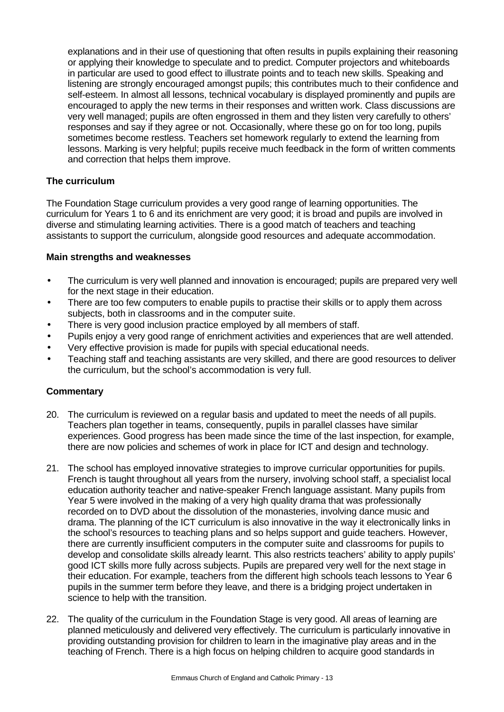explanations and in their use of questioning that often results in pupils explaining their reasoning or applying their knowledge to speculate and to predict. Computer projectors and whiteboards in particular are used to good effect to illustrate points and to teach new skills. Speaking and listening are strongly encouraged amongst pupils; this contributes much to their confidence and self-esteem. In almost all lessons, technical vocabulary is displayed prominently and pupils are encouraged to apply the new terms in their responses and written work. Class discussions are very well managed; pupils are often engrossed in them and they listen very carefully to others' responses and say if they agree or not. Occasionally, where these go on for too long, pupils sometimes become restless. Teachers set homework regularly to extend the learning from lessons. Marking is very helpful; pupils receive much feedback in the form of written comments and correction that helps them improve.

# **The curriculum**

The Foundation Stage curriculum provides a very good range of learning opportunities. The curriculum for Years 1 to 6 and its enrichment are very good; it is broad and pupils are involved in diverse and stimulating learning activities. There is a good match of teachers and teaching assistants to support the curriculum, alongside good resources and adequate accommodation.

#### **Main strengths and weaknesses**

- The curriculum is very well planned and innovation is encouraged; pupils are prepared very well for the next stage in their education.
- There are too few computers to enable pupils to practise their skills or to apply them across subjects, both in classrooms and in the computer suite.
- There is very good inclusion practice employed by all members of staff.
- Pupils enjoy a very good range of enrichment activities and experiences that are well attended.
- Very effective provision is made for pupils with special educational needs.
- Teaching staff and teaching assistants are very skilled, and there are good resources to deliver the curriculum, but the school's accommodation is very full.

- 20. The curriculum is reviewed on a regular basis and updated to meet the needs of all pupils. Teachers plan together in teams, consequently, pupils in parallel classes have similar experiences. Good progress has been made since the time of the last inspection, for example, there are now policies and schemes of work in place for ICT and design and technology.
- 21. The school has employed innovative strategies to improve curricular opportunities for pupils. French is taught throughout all years from the nursery, involving school staff, a specialist local education authority teacher and native-speaker French language assistant. Many pupils from Year 5 were involved in the making of a very high quality drama that was professionally recorded on to DVD about the dissolution of the monasteries, involving dance music and drama. The planning of the ICT curriculum is also innovative in the way it electronically links in the school's resources to teaching plans and so helps support and guide teachers. However, there are currently insufficient computers in the computer suite and classrooms for pupils to develop and consolidate skills already learnt. This also restricts teachers' ability to apply pupils' good ICT skills more fully across subjects. Pupils are prepared very well for the next stage in their education. For example, teachers from the different high schools teach lessons to Year 6 pupils in the summer term before they leave, and there is a bridging project undertaken in science to help with the transition.
- 22. The quality of the curriculum in the Foundation Stage is very good. All areas of learning are planned meticulously and delivered very effectively. The curriculum is particularly innovative in providing outstanding provision for children to learn in the imaginative play areas and in the teaching of French. There is a high focus on helping children to acquire good standards in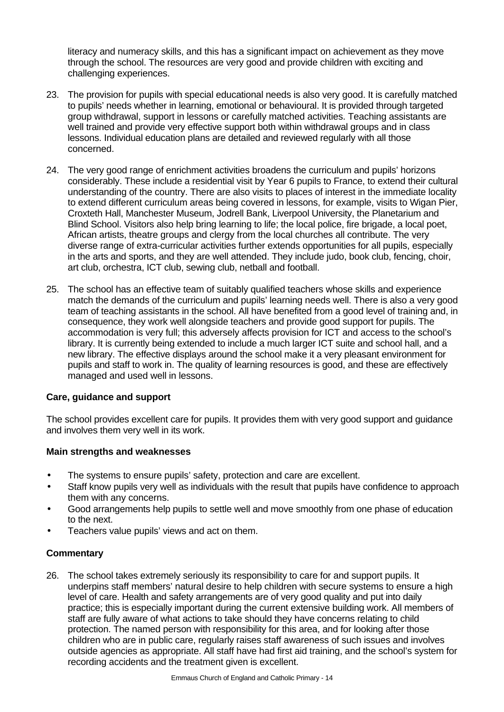literacy and numeracy skills, and this has a significant impact on achievement as they move through the school. The resources are very good and provide children with exciting and challenging experiences.

- 23. The provision for pupils with special educational needs is also very good. It is carefully matched to pupils' needs whether in learning, emotional or behavioural. It is provided through targeted group withdrawal, support in lessons or carefully matched activities. Teaching assistants are well trained and provide very effective support both within withdrawal groups and in class lessons. Individual education plans are detailed and reviewed regularly with all those concerned.
- 24. The very good range of enrichment activities broadens the curriculum and pupils' horizons considerably. These include a residential visit by Year 6 pupils to France, to extend their cultural understanding of the country. There are also visits to places of interest in the immediate locality to extend different curriculum areas being covered in lessons, for example, visits to Wigan Pier, Croxteth Hall, Manchester Museum, Jodrell Bank, Liverpool University, the Planetarium and Blind School. Visitors also help bring learning to life; the local police, fire brigade, a local poet, African artists, theatre groups and clergy from the local churches all contribute. The very diverse range of extra-curricular activities further extends opportunities for all pupils, especially in the arts and sports, and they are well attended. They include judo, book club, fencing, choir, art club, orchestra, ICT club, sewing club, netball and football.
- 25. The school has an effective team of suitably qualified teachers whose skills and experience match the demands of the curriculum and pupils' learning needs well. There is also a very good team of teaching assistants in the school. All have benefited from a good level of training and, in consequence, they work well alongside teachers and provide good support for pupils. The accommodation is very full; this adversely affects provision for ICT and access to the school's library. It is currently being extended to include a much larger ICT suite and school hall, and a new library. The effective displays around the school make it a very pleasant environment for pupils and staff to work in. The quality of learning resources is good, and these are effectively managed and used well in lessons.

# **Care, guidance and support**

The school provides excellent care for pupils. It provides them with very good support and guidance and involves them very well in its work.

# **Main strengths and weaknesses**

- The systems to ensure pupils' safety, protection and care are excellent.
- Staff know pupils very well as individuals with the result that pupils have confidence to approach them with any concerns.
- Good arrangements help pupils to settle well and move smoothly from one phase of education to the next.
- Teachers value pupils' views and act on them.

# **Commentary**

26. The school takes extremely seriously its responsibility to care for and support pupils. It underpins staff members' natural desire to help children with secure systems to ensure a high level of care. Health and safety arrangements are of very good quality and put into daily practice; this is especially important during the current extensive building work. All members of staff are fully aware of what actions to take should they have concerns relating to child protection. The named person with responsibility for this area, and for looking after those children who are in public care, regularly raises staff awareness of such issues and involves outside agencies as appropriate. All staff have had first aid training, and the school's system for recording accidents and the treatment given is excellent.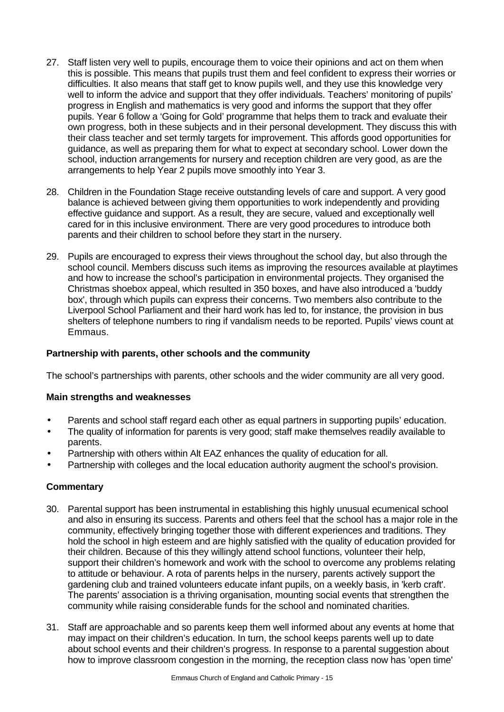- 27. Staff listen very well to pupils, encourage them to voice their opinions and act on them when this is possible. This means that pupils trust them and feel confident to express their worries or difficulties. It also means that staff get to know pupils well, and they use this knowledge very well to inform the advice and support that they offer individuals. Teachers' monitoring of pupils' progress in English and mathematics is very good and informs the support that they offer pupils. Year 6 follow a 'Going for Gold' programme that helps them to track and evaluate their own progress, both in these subjects and in their personal development. They discuss this with their class teacher and set termly targets for improvement. This affords good opportunities for guidance, as well as preparing them for what to expect at secondary school. Lower down the school, induction arrangements for nursery and reception children are very good, as are the arrangements to help Year 2 pupils move smoothly into Year 3.
- 28. Children in the Foundation Stage receive outstanding levels of care and support. A very good balance is achieved between giving them opportunities to work independently and providing effective guidance and support. As a result, they are secure, valued and exceptionally well cared for in this inclusive environment. There are very good procedures to introduce both parents and their children to school before they start in the nursery.
- 29. Pupils are encouraged to express their views throughout the school day, but also through the school council. Members discuss such items as improving the resources available at playtimes and how to increase the school's participation in environmental projects. They organised the Christmas shoebox appeal, which resulted in 350 boxes, and have also introduced a 'buddy box', through which pupils can express their concerns. Two members also contribute to the Liverpool School Parliament and their hard work has led to, for instance, the provision in bus shelters of telephone numbers to ring if vandalism needs to be reported. Pupils' views count at Emmaus.

# **Partnership with parents, other schools and the community**

The school's partnerships with parents, other schools and the wider community are all very good.

# **Main strengths and weaknesses**

- Parents and school staff regard each other as equal partners in supporting pupils' education.
- The quality of information for parents is very good; staff make themselves readily available to parents.
- Partnership with others within Alt EAZ enhances the quality of education for all.
- Partnership with colleges and the local education authority augment the school's provision.

- 30. Parental support has been instrumental in establishing this highly unusual ecumenical school and also in ensuring its success. Parents and others feel that the school has a major role in the community, effectively bringing together those with different experiences and traditions. They hold the school in high esteem and are highly satisfied with the quality of education provided for their children. Because of this they willingly attend school functions, volunteer their help, support their children's homework and work with the school to overcome any problems relating to attitude or behaviour. A rota of parents helps in the nursery, parents actively support the gardening club and trained volunteers educate infant pupils, on a weekly basis, in 'kerb craft'. The parents' association is a thriving organisation, mounting social events that strengthen the community while raising considerable funds for the school and nominated charities.
- 31. Staff are approachable and so parents keep them well informed about any events at home that may impact on their children's education. In turn, the school keeps parents well up to date about school events and their children's progress. In response to a parental suggestion about how to improve classroom congestion in the morning, the reception class now has 'open time'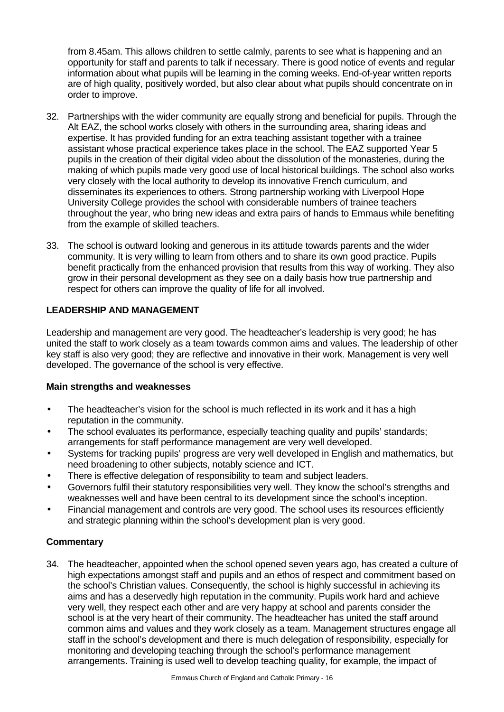from 8.45am. This allows children to settle calmly, parents to see what is happening and an opportunity for staff and parents to talk if necessary. There is good notice of events and regular information about what pupils will be learning in the coming weeks. End-of-year written reports are of high quality, positively worded, but also clear about what pupils should concentrate on in order to improve.

- 32. Partnerships with the wider community are equally strong and beneficial for pupils. Through the Alt EAZ, the school works closely with others in the surrounding area, sharing ideas and expertise. It has provided funding for an extra teaching assistant together with a trainee assistant whose practical experience takes place in the school. The EAZ supported Year 5 pupils in the creation of their digital video about the dissolution of the monasteries, during the making of which pupils made very good use of local historical buildings. The school also works very closely with the local authority to develop its innovative French curriculum, and disseminates its experiences to others. Strong partnership working with Liverpool Hope University College provides the school with considerable numbers of trainee teachers throughout the year, who bring new ideas and extra pairs of hands to Emmaus while benefiting from the example of skilled teachers.
- 33. The school is outward looking and generous in its attitude towards parents and the wider community. It is very willing to learn from others and to share its own good practice. Pupils benefit practically from the enhanced provision that results from this way of working. They also grow in their personal development as they see on a daily basis how true partnership and respect for others can improve the quality of life for all involved.

# **LEADERSHIP AND MANAGEMENT**

Leadership and management are very good. The headteacher's leadership is very good; he has united the staff to work closely as a team towards common aims and values. The leadership of other key staff is also very good; they are reflective and innovative in their work. Management is very well developed. The governance of the school is very effective.

# **Main strengths and weaknesses**

- The headteacher's vision for the school is much reflected in its work and it has a high reputation in the community.
- The school evaluates its performance, especially teaching quality and pupils' standards; arrangements for staff performance management are very well developed.
- Systems for tracking pupils' progress are very well developed in English and mathematics, but need broadening to other subjects, notably science and ICT.
- There is effective delegation of responsibility to team and subject leaders.
- Governors fulfil their statutory responsibilities very well. They know the school's strengths and weaknesses well and have been central to its development since the school's inception.
- Financial management and controls are very good. The school uses its resources efficiently and strategic planning within the school's development plan is very good.

# **Commentary**

34. The headteacher, appointed when the school opened seven years ago, has created a culture of high expectations amongst staff and pupils and an ethos of respect and commitment based on the school's Christian values. Consequently, the school is highly successful in achieving its aims and has a deservedly high reputation in the community. Pupils work hard and achieve very well, they respect each other and are very happy at school and parents consider the school is at the very heart of their community. The headteacher has united the staff around common aims and values and they work closely as a team. Management structures engage all staff in the school's development and there is much delegation of responsibility, especially for monitoring and developing teaching through the school's performance management arrangements. Training is used well to develop teaching quality, for example, the impact of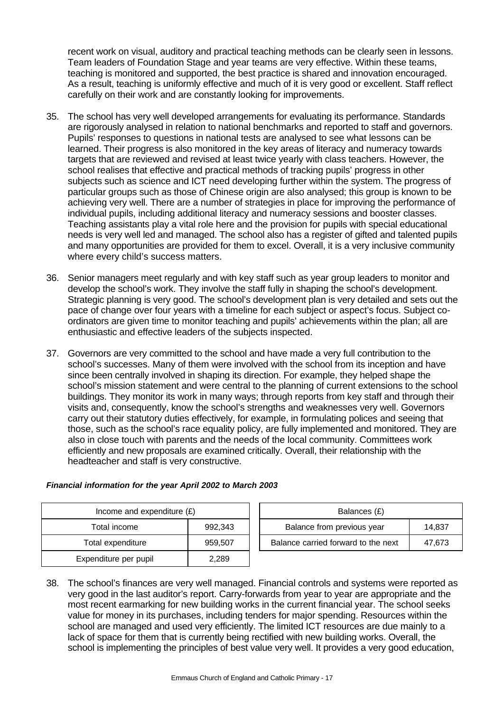recent work on visual, auditory and practical teaching methods can be clearly seen in lessons. Team leaders of Foundation Stage and year teams are very effective. Within these teams, teaching is monitored and supported, the best practice is shared and innovation encouraged. As a result, teaching is uniformly effective and much of it is very good or excellent. Staff reflect carefully on their work and are constantly looking for improvements.

- 35. The school has very well developed arrangements for evaluating its performance. Standards are rigorously analysed in relation to national benchmarks and reported to staff and governors. Pupils' responses to questions in national tests are analysed to see what lessons can be learned. Their progress is also monitored in the key areas of literacy and numeracy towards targets that are reviewed and revised at least twice yearly with class teachers. However, the school realises that effective and practical methods of tracking pupils' progress in other subjects such as science and ICT need developing further within the system. The progress of particular groups such as those of Chinese origin are also analysed; this group is known to be achieving very well. There are a number of strategies in place for improving the performance of individual pupils, including additional literacy and numeracy sessions and booster classes. Teaching assistants play a vital role here and the provision for pupils with special educational needs is very well led and managed. The school also has a register of gifted and talented pupils and many opportunities are provided for them to excel. Overall, it is a very inclusive community where every child's success matters.
- 36. Senior managers meet regularly and with key staff such as year group leaders to monitor and develop the school's work. They involve the staff fully in shaping the school's development. Strategic planning is very good. The school's development plan is very detailed and sets out the pace of change over four years with a timeline for each subject or aspect's focus. Subject coordinators are given time to monitor teaching and pupils' achievements within the plan; all are enthusiastic and effective leaders of the subjects inspected.
- 37. Governors are very committed to the school and have made a very full contribution to the school's successes. Many of them were involved with the school from its inception and have since been centrally involved in shaping its direction. For example, they helped shape the school's mission statement and were central to the planning of current extensions to the school buildings. They monitor its work in many ways; through reports from key staff and through their visits and, consequently, know the school's strengths and weaknesses very well. Governors carry out their statutory duties effectively, for example, in formulating polices and seeing that those, such as the school's race equality policy, are fully implemented and monitored. They are also in close touch with parents and the needs of the local community. Committees work efficiently and new proposals are examined critically. Overall, their relationship with the headteacher and staff is very constructive.

| Income and expenditure $(E)$ |         | Balances (£)                     |
|------------------------------|---------|----------------------------------|
| Total income                 | 992.343 | Balance from previous year       |
| Total expenditure            | 959,507 | Balance carried forward to the i |
| Expenditure per pupil        | 2.289   |                                  |

| Income and expenditure $(E)$ |         | Balances (£)                        |        |  |  |
|------------------------------|---------|-------------------------------------|--------|--|--|
| Total income                 | 992.343 | Balance from previous year          | 14.837 |  |  |
| Total expenditure            | 959.507 | Balance carried forward to the next | 47.673 |  |  |

# 38. The school's finances are very well managed. Financial controls and systems were reported as

very good in the last auditor's report. Carry-forwards from year to year are appropriate and the most recent earmarking for new building works in the current financial year. The school seeks value for money in its purchases, including tenders for major spending. Resources within the school are managed and used very efficiently. The limited ICT resources are due mainly to a lack of space for them that is currently being rectified with new building works. Overall, the school is implementing the principles of best value very well. It provides a very good education,

# *Financial information for the year April 2002 to March 2003*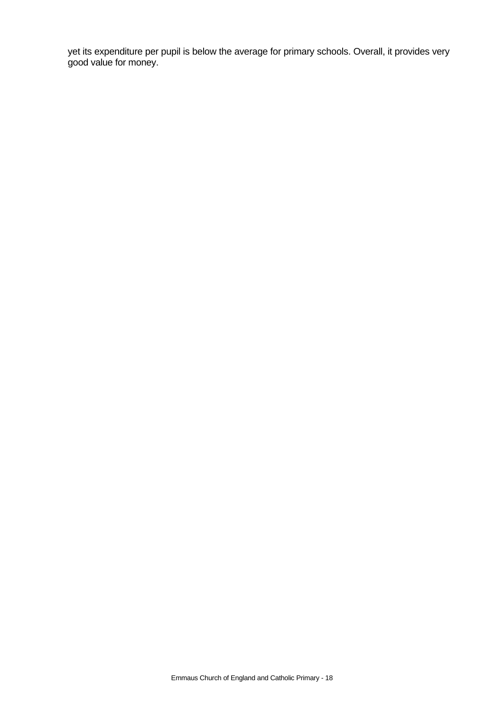yet its expenditure per pupil is below the average for primary schools. Overall, it provides very good value for money.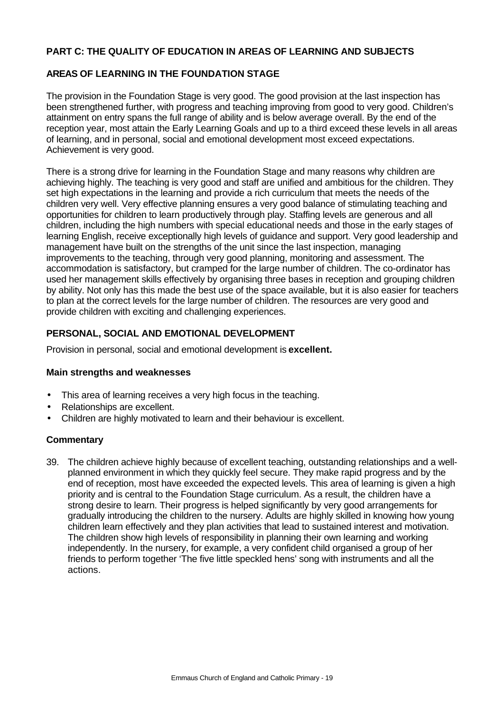# **PART C: THE QUALITY OF EDUCATION IN AREAS OF LEARNING AND SUBJECTS**

# **AREAS OF LEARNING IN THE FOUNDATION STAGE**

The provision in the Foundation Stage is very good. The good provision at the last inspection has been strengthened further, with progress and teaching improving from good to very good. Children's attainment on entry spans the full range of ability and is below average overall. By the end of the reception year, most attain the Early Learning Goals and up to a third exceed these levels in all areas of learning, and in personal, social and emotional development most exceed expectations. Achievement is very good.

There is a strong drive for learning in the Foundation Stage and many reasons why children are achieving highly. The teaching is very good and staff are unified and ambitious for the children. They set high expectations in the learning and provide a rich curriculum that meets the needs of the children very well. Very effective planning ensures a very good balance of stimulating teaching and opportunities for children to learn productively through play. Staffing levels are generous and all children, including the high numbers with special educational needs and those in the early stages of learning English, receive exceptionally high levels of guidance and support. Very good leadership and management have built on the strengths of the unit since the last inspection, managing improvements to the teaching, through very good planning, monitoring and assessment. The accommodation is satisfactory, but cramped for the large number of children. The co-ordinator has used her management skills effectively by organising three bases in reception and grouping children by ability. Not only has this made the best use of the space available, but it is also easier for teachers to plan at the correct levels for the large number of children. The resources are very good and provide children with exciting and challenging experiences.

# **PERSONAL, SOCIAL AND EMOTIONAL DEVELOPMENT**

Provision in personal, social and emotional development is **excellent.**

# **Main strengths and weaknesses**

- This area of learning receives a very high focus in the teaching.
- Relationships are excellent.
- Children are highly motivated to learn and their behaviour is excellent.

# **Commentary**

39. The children achieve highly because of excellent teaching, outstanding relationships and a wellplanned environment in which they quickly feel secure. They make rapid progress and by the end of reception, most have exceeded the expected levels. This area of learning is given a high priority and is central to the Foundation Stage curriculum. As a result, the children have a strong desire to learn. Their progress is helped significantly by very good arrangements for gradually introducing the children to the nursery. Adults are highly skilled in knowing how young children learn effectively and they plan activities that lead to sustained interest and motivation. The children show high levels of responsibility in planning their own learning and working independently. In the nursery, for example, a very confident child organised a group of her friends to perform together 'The five little speckled hens' song with instruments and all the actions.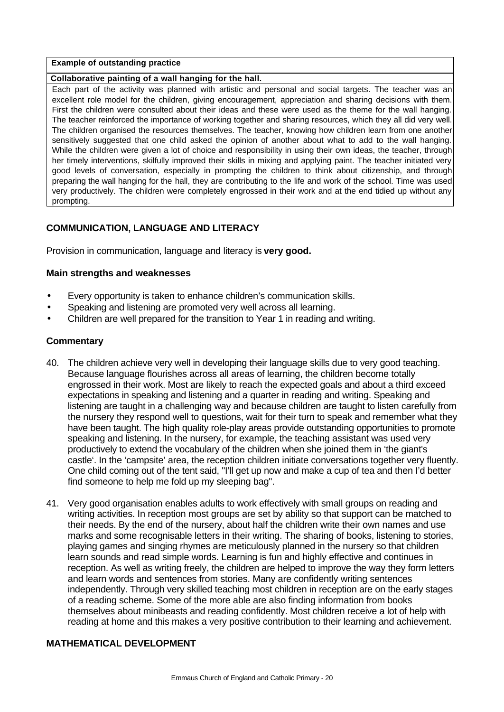#### **Example of outstanding practice**

#### **Collaborative painting of a wall hanging for the hall.**

Each part of the activity was planned with artistic and personal and social targets. The teacher was an excellent role model for the children, giving encouragement, appreciation and sharing decisions with them. First the children were consulted about their ideas and these were used as the theme for the wall hanging. The teacher reinforced the importance of working together and sharing resources, which they all did very well. The children organised the resources themselves. The teacher, knowing how children learn from one another sensitively suggested that one child asked the opinion of another about what to add to the wall hanging. While the children were given a lot of choice and responsibility in using their own ideas, the teacher, through her timely interventions, skilfully improved their skills in mixing and applying paint. The teacher initiated very good levels of conversation, especially in prompting the children to think about citizenship, and through preparing the wall hanging for the hall, they are contributing to the life and work of the school. Time was used very productively. The children were completely engrossed in their work and at the end tidied up without any prompting.

# **COMMUNICATION, LANGUAGE AND LITERACY**

Provision in communication, language and literacy is **very good.**

#### **Main strengths and weaknesses**

- Every opportunity is taken to enhance children's communication skills.
- Speaking and listening are promoted very well across all learning.
- Children are well prepared for the transition to Year 1 in reading and writing.

#### **Commentary**

- 40. The children achieve very well in developing their language skills due to very good teaching. Because language flourishes across all areas of learning, the children become totally engrossed in their work. Most are likely to reach the expected goals and about a third exceed expectations in speaking and listening and a quarter in reading and writing. Speaking and listening are taught in a challenging way and because children are taught to listen carefully from the nursery they respond well to questions, wait for their turn to speak and remember what they have been taught. The high quality role-play areas provide outstanding opportunities to promote speaking and listening. In the nursery, for example, the teaching assistant was used very productively to extend the vocabulary of the children when she joined them in 'the giant's castle'. In the 'campsite' area, the reception children initiate conversations together very fluently. One child coming out of the tent said, "I'll get up now and make a cup of tea and then I'd better find someone to help me fold up my sleeping bag".
- 41. Very good organisation enables adults to work effectively with small groups on reading and writing activities. In reception most groups are set by ability so that support can be matched to their needs. By the end of the nursery, about half the children write their own names and use marks and some recognisable letters in their writing. The sharing of books, listening to stories, playing games and singing rhymes are meticulously planned in the nursery so that children learn sounds and read simple words. Learning is fun and highly effective and continues in reception. As well as writing freely, the children are helped to improve the way they form letters and learn words and sentences from stories. Many are confidently writing sentences independently. Through very skilled teaching most children in reception are on the early stages of a reading scheme. Some of the more able are also finding information from books themselves about minibeasts and reading confidently. Most children receive a lot of help with reading at home and this makes a very positive contribution to their learning and achievement.

# **MATHEMATICAL DEVELOPMENT**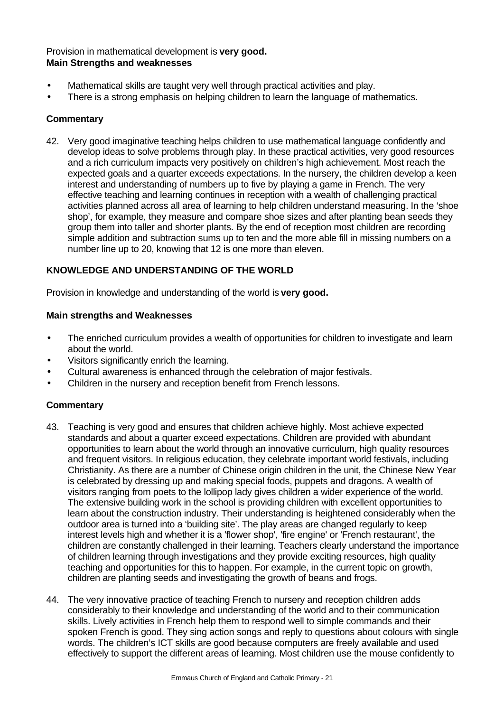# Provision in mathematical development is **very good. Main Strengths and weaknesses**

- Mathematical skills are taught very well through practical activities and play.
- There is a strong emphasis on helping children to learn the language of mathematics.

# **Commentary**

42. Very good imaginative teaching helps children to use mathematical language confidently and develop ideas to solve problems through play. In these practical activities, very good resources and a rich curriculum impacts very positively on children's high achievement. Most reach the expected goals and a quarter exceeds expectations. In the nursery, the children develop a keen interest and understanding of numbers up to five by playing a game in French. The very effective teaching and learning continues in reception with a wealth of challenging practical activities planned across all area of learning to help children understand measuring. In the 'shoe shop', for example, they measure and compare shoe sizes and after planting bean seeds they group them into taller and shorter plants. By the end of reception most children are recording simple addition and subtraction sums up to ten and the more able fill in missing numbers on a number line up to 20, knowing that 12 is one more than eleven.

# **KNOWLEDGE AND UNDERSTANDING OF THE WORLD**

Provision in knowledge and understanding of the world is **very good.**

# **Main strengths and Weaknesses**

- The enriched curriculum provides a wealth of opportunities for children to investigate and learn about the world.
- Visitors significantly enrich the learning.
- Cultural awareness is enhanced through the celebration of major festivals.
- Children in the nursery and reception benefit from French lessons.

- 43. Teaching is very good and ensures that children achieve highly. Most achieve expected standards and about a quarter exceed expectations. Children are provided with abundant opportunities to learn about the world through an innovative curriculum, high quality resources and frequent visitors. In religious education, they celebrate important world festivals, including Christianity. As there are a number of Chinese origin children in the unit, the Chinese New Year is celebrated by dressing up and making special foods, puppets and dragons. A wealth of visitors ranging from poets to the lollipop lady gives children a wider experience of the world. The extensive building work in the school is providing children with excellent opportunities to learn about the construction industry. Their understanding is heightened considerably when the outdoor area is turned into a 'building site'. The play areas are changed regularly to keep interest levels high and whether it is a 'flower shop', 'fire engine' or 'French restaurant', the children are constantly challenged in their learning. Teachers clearly understand the importance of children learning through investigations and they provide exciting resources, high quality teaching and opportunities for this to happen. For example, in the current topic on growth, children are planting seeds and investigating the growth of beans and frogs.
- 44. The very innovative practice of teaching French to nursery and reception children adds considerably to their knowledge and understanding of the world and to their communication skills. Lively activities in French help them to respond well to simple commands and their spoken French is good. They sing action songs and reply to questions about colours with single words. The children's ICT skills are good because computers are freely available and used effectively to support the different areas of learning. Most children use the mouse confidently to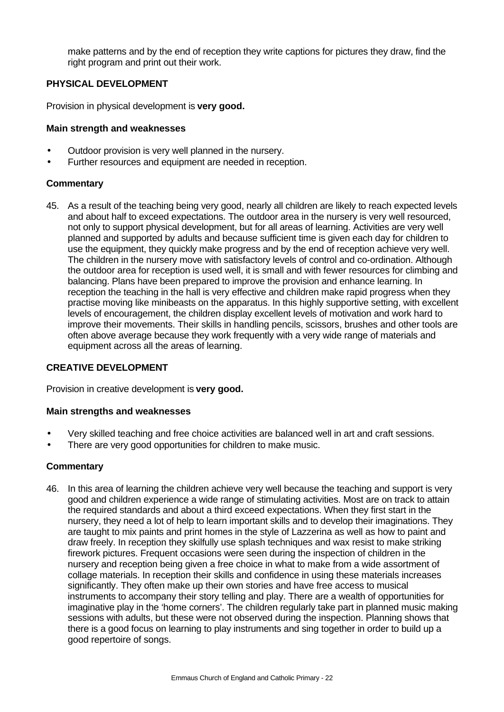make patterns and by the end of reception they write captions for pictures they draw, find the right program and print out their work.

# **PHYSICAL DEVELOPMENT**

Provision in physical development is **very good.**

# **Main strength and weaknesses**

- Outdoor provision is very well planned in the nursery.
- Further resources and equipment are needed in reception.

# **Commentary**

45. As a result of the teaching being very good, nearly all children are likely to reach expected levels and about half to exceed expectations. The outdoor area in the nursery is very well resourced, not only to support physical development, but for all areas of learning. Activities are very well planned and supported by adults and because sufficient time is given each day for children to use the equipment, they quickly make progress and by the end of reception achieve very well. The children in the nursery move with satisfactory levels of control and co-ordination. Although the outdoor area for reception is used well, it is small and with fewer resources for climbing and balancing. Plans have been prepared to improve the provision and enhance learning. In reception the teaching in the hall is very effective and children make rapid progress when they practise moving like minibeasts on the apparatus. In this highly supportive setting, with excellent levels of encouragement, the children display excellent levels of motivation and work hard to improve their movements. Their skills in handling pencils, scissors, brushes and other tools are often above average because they work frequently with a very wide range of materials and equipment across all the areas of learning.

# **CREATIVE DEVELOPMENT**

Provision in creative development is **very good.**

# **Main strengths and weaknesses**

- Very skilled teaching and free choice activities are balanced well in art and craft sessions.
- There are very good opportunities for children to make music.

# **Commentary**

46. In this area of learning the children achieve very well because the teaching and support is very good and children experience a wide range of stimulating activities. Most are on track to attain the required standards and about a third exceed expectations. When they first start in the nursery, they need a lot of help to learn important skills and to develop their imaginations. They are taught to mix paints and print homes in the style of Lazzerina as well as how to paint and draw freely. In reception they skilfully use splash techniques and wax resist to make striking firework pictures. Frequent occasions were seen during the inspection of children in the nursery and reception being given a free choice in what to make from a wide assortment of collage materials. In reception their skills and confidence in using these materials increases significantly. They often make up their own stories and have free access to musical instruments to accompany their story telling and play. There are a wealth of opportunities for imaginative play in the 'home corners'. The children regularly take part in planned music making sessions with adults, but these were not observed during the inspection. Planning shows that there is a good focus on learning to play instruments and sing together in order to build up a good repertoire of songs.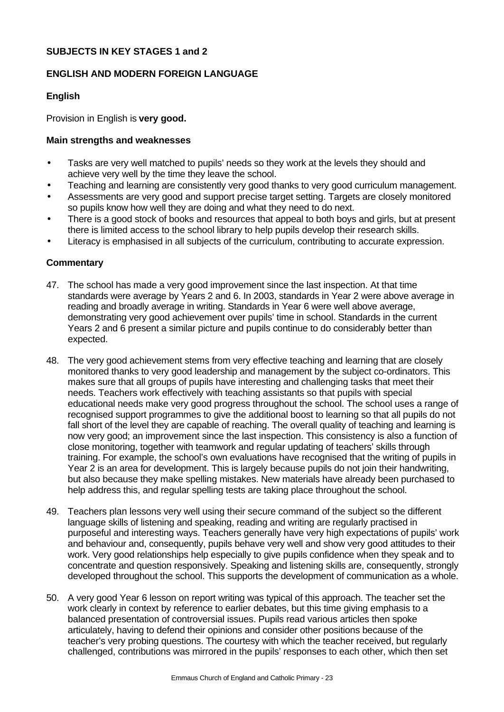# **SUBJECTS IN KEY STAGES 1 and 2**

#### **ENGLISH AND MODERN FOREIGN LANGUAGE**

#### **English**

Provision in English is **very good.**

#### **Main strengths and weaknesses**

- Tasks are very well matched to pupils' needs so they work at the levels they should and achieve very well by the time they leave the school.
- Teaching and learning are consistently very good thanks to very good curriculum management.
- Assessments are very good and support precise target setting. Targets are closely monitored so pupils know how well they are doing and what they need to do next.
- There is a good stock of books and resources that appeal to both boys and girls, but at present there is limited access to the school library to help pupils develop their research skills.
- Literacy is emphasised in all subjects of the curriculum, contributing to accurate expression.

- 47. The school has made a very good improvement since the last inspection. At that time standards were average by Years 2 and 6. In 2003, standards in Year 2 were above average in reading and broadly average in writing. Standards in Year 6 were well above average, demonstrating very good achievement over pupils' time in school. Standards in the current Years 2 and 6 present a similar picture and pupils continue to do considerably better than expected.
- 48. The very good achievement stems from very effective teaching and learning that are closely monitored thanks to very good leadership and management by the subject co-ordinators. This makes sure that all groups of pupils have interesting and challenging tasks that meet their needs. Teachers work effectively with teaching assistants so that pupils with special educational needs make very good progress throughout the school. The school uses a range of recognised support programmes to give the additional boost to learning so that all pupils do not fall short of the level they are capable of reaching. The overall quality of teaching and learning is now very good; an improvement since the last inspection. This consistency is also a function of close monitoring, together with teamwork and regular updating of teachers' skills through training. For example, the school's own evaluations have recognised that the writing of pupils in Year 2 is an area for development. This is largely because pupils do not join their handwriting, but also because they make spelling mistakes. New materials have already been purchased to help address this, and regular spelling tests are taking place throughout the school.
- 49. Teachers plan lessons very well using their secure command of the subject so the different language skills of listening and speaking, reading and writing are regularly practised in purposeful and interesting ways. Teachers generally have very high expectations of pupils' work and behaviour and, consequently, pupils behave very well and show very good attitudes to their work. Very good relationships help especially to give pupils confidence when they speak and to concentrate and question responsively. Speaking and listening skills are, consequently, strongly developed throughout the school. This supports the development of communication as a whole.
- 50. A very good Year 6 lesson on report writing was typical of this approach. The teacher set the work clearly in context by reference to earlier debates, but this time giving emphasis to a balanced presentation of controversial issues. Pupils read various articles then spoke articulately, having to defend their opinions and consider other positions because of the teacher's very probing questions. The courtesy with which the teacher received, but regularly challenged, contributions was mirrored in the pupils' responses to each other, which then set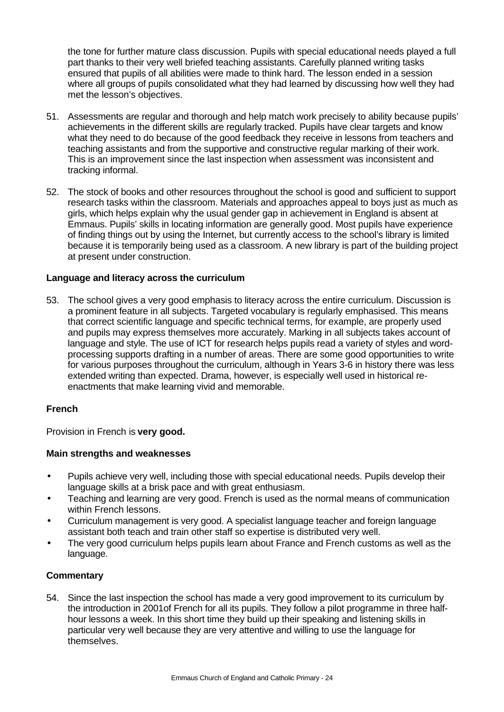the tone for further mature class discussion. Pupils with special educational needs played a full part thanks to their very well briefed teaching assistants. Carefully planned writing tasks ensured that pupils of all abilities were made to think hard. The lesson ended in a session where all groups of pupils consolidated what they had learned by discussing how well they had met the lesson's objectives.

- 51. Assessments are regular and thorough and help match work precisely to ability because pupils' achievements in the different skills are regularly tracked. Pupils have clear targets and know what they need to do because of the good feedback they receive in lessons from teachers and teaching assistants and from the supportive and constructive regular marking of their work. This is an improvement since the last inspection when assessment was inconsistent and tracking informal.
- 52. The stock of books and other resources throughout the school is good and sufficient to support research tasks within the classroom. Materials and approaches appeal to boys just as much as girls, which helps explain why the usual gender gap in achievement in England is absent at Emmaus. Pupils' skills in locating information are generally good. Most pupils have experience of finding things out by using the Internet, but currently access to the school's library is limited because it is temporarily being used as a classroom. A new library is part of the building project at present under construction.

# **Language and literacy across the curriculum**

53. The school gives a very good emphasis to literacy across the entire curriculum. Discussion is a prominent feature in all subjects. Targeted vocabulary is regularly emphasised. This means that correct scientific language and specific technical terms, for example, are properly used and pupils may express themselves more accurately. Marking in all subjects takes account of language and style. The use of ICT for research helps pupils read a variety of styles and wordprocessing supports drafting in a number of areas. There are some good opportunities to write for various purposes throughout the curriculum, although in Years 3-6 in history there was less extended writing than expected. Drama, however, is especially well used in historical reenactments that make learning vivid and memorable.

# **French**

Provision in French is **very good.**

#### **Main strengths and weaknesses**

- Pupils achieve very well, including those with special educational needs. Pupils develop their language skills at a brisk pace and with great enthusiasm.
- Teaching and learning are very good. French is used as the normal means of communication within French lessons.
- Curriculum management is very good. A specialist language teacher and foreign language assistant both teach and train other staff so expertise is distributed very well.
- The very good curriculum helps pupils learn about France and French customs as well as the language.

# **Commentary**

54. Since the last inspection the school has made a very good improvement to its curriculum by the introduction in 2001of French for all its pupils. They follow a pilot programme in three halfhour lessons a week. In this short time they build up their speaking and listening skills in particular very well because they are very attentive and willing to use the language for themselves.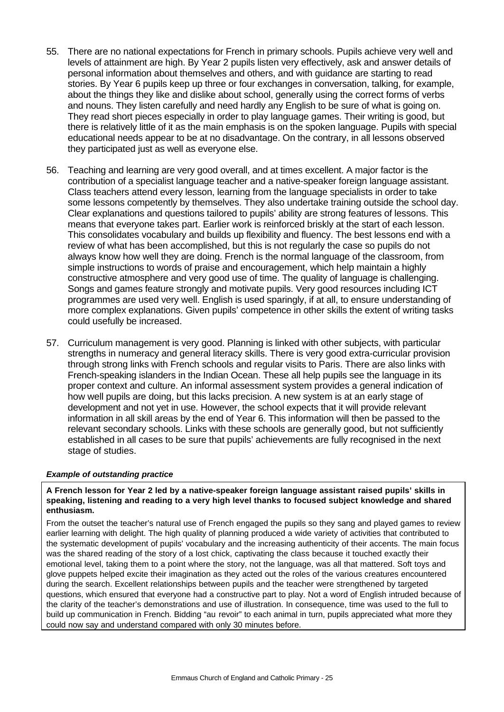- 55. There are no national expectations for French in primary schools. Pupils achieve very well and levels of attainment are high. By Year 2 pupils listen very effectively, ask and answer details of personal information about themselves and others, and with guidance are starting to read stories. By Year 6 pupils keep up three or four exchanges in conversation, talking, for example, about the things they like and dislike about school, generally using the correct forms of verbs and nouns. They listen carefully and need hardly any English to be sure of what is going on. They read short pieces especially in order to play language games. Their writing is good, but there is relatively little of it as the main emphasis is on the spoken language. Pupils with special educational needs appear to be at no disadvantage. On the contrary, in all lessons observed they participated just as well as everyone else.
- 56. Teaching and learning are very good overall, and at times excellent. A major factor is the contribution of a specialist language teacher and a native-speaker foreign language assistant. Class teachers attend every lesson, learning from the language specialists in order to take some lessons competently by themselves. They also undertake training outside the school day. Clear explanations and questions tailored to pupils' ability are strong features of lessons. This means that everyone takes part. Earlier work is reinforced briskly at the start of each lesson. This consolidates vocabulary and builds up flexibility and fluency. The best lessons end with a review of what has been accomplished, but this is not regularly the case so pupils do not always know how well they are doing. French is the normal language of the classroom, from simple instructions to words of praise and encouragement, which help maintain a highly constructive atmosphere and very good use of time. The quality of language is challenging. Songs and games feature strongly and motivate pupils. Very good resources including ICT programmes are used very well. English is used sparingly, if at all, to ensure understanding of more complex explanations. Given pupils' competence in other skills the extent of writing tasks could usefully be increased.
- 57. Curriculum management is very good. Planning is linked with other subjects, with particular strengths in numeracy and general literacy skills. There is very good extra-curricular provision through strong links with French schools and regular visits to Paris. There are also links with French-speaking islanders in the Indian Ocean. These all help pupils see the language in its proper context and culture. An informal assessment system provides a general indication of how well pupils are doing, but this lacks precision. A new system is at an early stage of development and not yet in use. However, the school expects that it will provide relevant information in all skill areas by the end of Year 6. This information will then be passed to the relevant secondary schools. Links with these schools are generally good, but not sufficiently established in all cases to be sure that pupils' achievements are fully recognised in the next stage of studies.

#### *Example of outstanding practice*

#### **A French lesson for Year 2 led by a native-speaker foreign language assistant raised pupils' skills in speaking, listening and reading to a very high level thanks to focused subject knowledge and shared enthusiasm.**

From the outset the teacher's natural use of French engaged the pupils so they sang and played games to review earlier learning with delight. The high quality of planning produced a wide variety of activities that contributed to the systematic development of pupils' vocabulary and the increasing authenticity of their accents. The main focus was the shared reading of the story of a lost chick, captivating the class because it touched exactly their emotional level, taking them to a point where the story, not the language, was all that mattered. Soft toys and glove puppets helped excite their imagination as they acted out the roles of the various creatures encountered during the search. Excellent relationships between pupils and the teacher were strengthened by targeted questions, which ensured that everyone had a constructive part to play. Not a word of English intruded because of the clarity of the teacher's demonstrations and use of illustration. In consequence, time was used to the full to build up communication in French. Bidding "au revoir" to each animal in turn, pupils appreciated what more they could now say and understand compared with only 30 minutes before.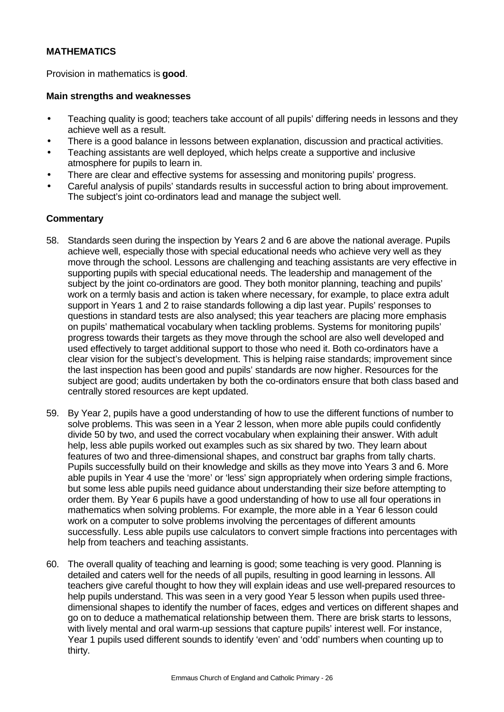# **MATHEMATICS**

Provision in mathematics is **good**.

#### **Main strengths and weaknesses**

- Teaching quality is good; teachers take account of all pupils' differing needs in lessons and they achieve well as a result.
- There is a good balance in lessons between explanation, discussion and practical activities.
- Teaching assistants are well deployed, which helps create a supportive and inclusive atmosphere for pupils to learn in.
- There are clear and effective systems for assessing and monitoring pupils' progress.
- Careful analysis of pupils' standards results in successful action to bring about improvement. The subject's joint co-ordinators lead and manage the subject well.

- 58. Standards seen during the inspection by Years 2 and 6 are above the national average. Pupils achieve well, especially those with special educational needs who achieve very well as they move through the school. Lessons are challenging and teaching assistants are very effective in supporting pupils with special educational needs. The leadership and management of the subject by the joint co-ordinators are good. They both monitor planning, teaching and pupils' work on a termly basis and action is taken where necessary, for example, to place extra adult support in Years 1 and 2 to raise standards following a dip last year. Pupils' responses to questions in standard tests are also analysed; this year teachers are placing more emphasis on pupils' mathematical vocabulary when tackling problems. Systems for monitoring pupils' progress towards their targets as they move through the school are also well developed and used effectively to target additional support to those who need it. Both co-ordinators have a clear vision for the subject's development. This is helping raise standards; improvement since the last inspection has been good and pupils' standards are now higher. Resources for the subject are good; audits undertaken by both the co-ordinators ensure that both class based and centrally stored resources are kept updated.
- 59. By Year 2, pupils have a good understanding of how to use the different functions of number to solve problems. This was seen in a Year 2 lesson, when more able pupils could confidently divide 50 by two, and used the correct vocabulary when explaining their answer. With adult help, less able pupils worked out examples such as six shared by two. They learn about features of two and three-dimensional shapes, and construct bar graphs from tally charts. Pupils successfully build on their knowledge and skills as they move into Years 3 and 6. More able pupils in Year 4 use the 'more' or 'less' sign appropriately when ordering simple fractions, but some less able pupils need guidance about understanding their size before attempting to order them. By Year 6 pupils have a good understanding of how to use all four operations in mathematics when solving problems. For example, the more able in a Year 6 lesson could work on a computer to solve problems involving the percentages of different amounts successfully. Less able pupils use calculators to convert simple fractions into percentages with help from teachers and teaching assistants.
- 60. The overall quality of teaching and learning is good; some teaching is very good. Planning is detailed and caters well for the needs of all pupils, resulting in good learning in lessons. All teachers give careful thought to how they will explain ideas and use well-prepared resources to help pupils understand. This was seen in a very good Year 5 lesson when pupils used threedimensional shapes to identify the number of faces, edges and vertices on different shapes and go on to deduce a mathematical relationship between them. There are brisk starts to lessons, with lively mental and oral warm-up sessions that capture pupils' interest well. For instance, Year 1 pupils used different sounds to identify 'even' and 'odd' numbers when counting up to thirty.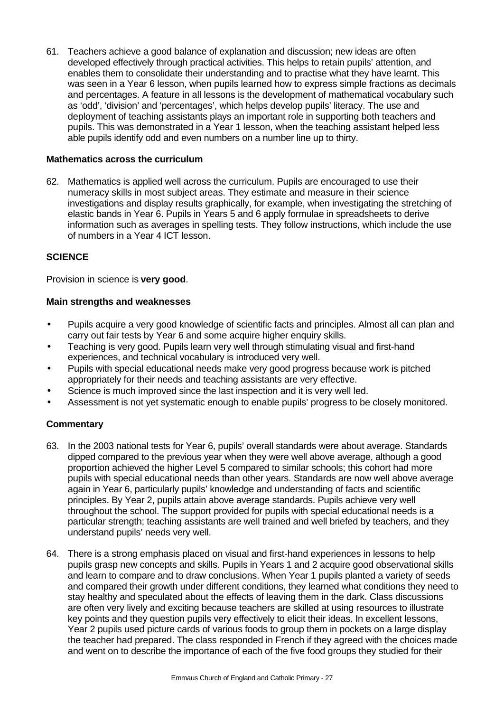61. Teachers achieve a good balance of explanation and discussion; new ideas are often developed effectively through practical activities. This helps to retain pupils' attention, and enables them to consolidate their understanding and to practise what they have learnt. This was seen in a Year 6 lesson, when pupils learned how to express simple fractions as decimals and percentages. A feature in all lessons is the development of mathematical vocabulary such as 'odd', 'division' and 'percentages', which helps develop pupils' literacy. The use and deployment of teaching assistants plays an important role in supporting both teachers and pupils. This was demonstrated in a Year 1 lesson, when the teaching assistant helped less able pupils identify odd and even numbers on a number line up to thirty.

# **Mathematics across the curriculum**

62. Mathematics is applied well across the curriculum. Pupils are encouraged to use their numeracy skills in most subject areas. They estimate and measure in their science investigations and display results graphically, for example, when investigating the stretching of elastic bands in Year 6. Pupils in Years 5 and 6 apply formulae in spreadsheets to derive information such as averages in spelling tests. They follow instructions, which include the use of numbers in a Year 4 ICT lesson.

# **SCIENCE**

Provision in science is **very good**.

# **Main strengths and weaknesses**

- Pupils acquire a very good knowledge of scientific facts and principles. Almost all can plan and carry out fair tests by Year 6 and some acquire higher enquiry skills.
- Teaching is very good. Pupils learn very well through stimulating visual and first-hand experiences, and technical vocabulary is introduced very well.
- Pupils with special educational needs make very good progress because work is pitched appropriately for their needs and teaching assistants are very effective.
- Science is much improved since the last inspection and it is very well led.
- Assessment is not yet systematic enough to enable pupils' progress to be closely monitored.

- 63. In the 2003 national tests for Year 6, pupils' overall standards were about average. Standards dipped compared to the previous year when they were well above average, although a good proportion achieved the higher Level 5 compared to similar schools; this cohort had more pupils with special educational needs than other years. Standards are now well above average again in Year 6, particularly pupils' knowledge and understanding of facts and scientific principles. By Year 2, pupils attain above average standards. Pupils achieve very well throughout the school. The support provided for pupils with special educational needs is a particular strength; teaching assistants are well trained and well briefed by teachers, and they understand pupils' needs very well.
- 64. There is a strong emphasis placed on visual and first-hand experiences in lessons to help pupils grasp new concepts and skills. Pupils in Years 1 and 2 acquire good observational skills and learn to compare and to draw conclusions. When Year 1 pupils planted a variety of seeds and compared their growth under different conditions, they learned what conditions they need to stay healthy and speculated about the effects of leaving them in the dark. Class discussions are often very lively and exciting because teachers are skilled at using resources to illustrate key points and they question pupils very effectively to elicit their ideas. In excellent lessons, Year 2 pupils used picture cards of various foods to group them in pockets on a large display the teacher had prepared. The class responded in French if they agreed with the choices made and went on to describe the importance of each of the five food groups they studied for their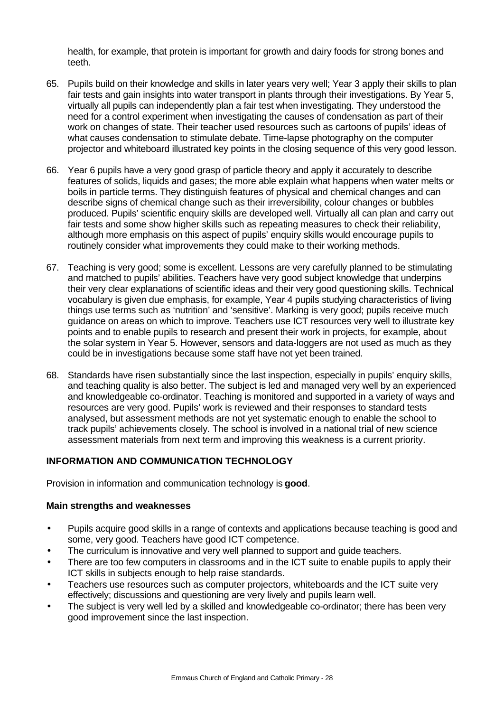health, for example, that protein is important for growth and dairy foods for strong bones and teeth.

- 65. Pupils build on their knowledge and skills in later years very well; Year 3 apply their skills to plan fair tests and gain insights into water transport in plants through their investigations. By Year 5, virtually all pupils can independently plan a fair test when investigating. They understood the need for a control experiment when investigating the causes of condensation as part of their work on changes of state. Their teacher used resources such as cartoons of pupils' ideas of what causes condensation to stimulate debate. Time-lapse photography on the computer projector and whiteboard illustrated key points in the closing sequence of this very good lesson.
- 66. Year 6 pupils have a very good grasp of particle theory and apply it accurately to describe features of solids, liquids and gases; the more able explain what happens when water melts or boils in particle terms. They distinguish features of physical and chemical changes and can describe signs of chemical change such as their irreversibility, colour changes or bubbles produced. Pupils' scientific enquiry skills are developed well. Virtually all can plan and carry out fair tests and some show higher skills such as repeating measures to check their reliability, although more emphasis on this aspect of pupils' enquiry skills would encourage pupils to routinely consider what improvements they could make to their working methods.
- 67. Teaching is very good; some is excellent. Lessons are very carefully planned to be stimulating and matched to pupils' abilities. Teachers have very good subject knowledge that underpins their very clear explanations of scientific ideas and their very good questioning skills. Technical vocabulary is given due emphasis, for example, Year 4 pupils studying characteristics of living things use terms such as 'nutrition' and 'sensitive'. Marking is very good; pupils receive much guidance on areas on which to improve. Teachers use ICT resources very well to illustrate key points and to enable pupils to research and present their work in projects, for example, about the solar system in Year 5. However, sensors and data-loggers are not used as much as they could be in investigations because some staff have not yet been trained.
- 68. Standards have risen substantially since the last inspection, especially in pupils' enquiry skills, and teaching quality is also better. The subject is led and managed very well by an experienced and knowledgeable co-ordinator. Teaching is monitored and supported in a variety of ways and resources are very good. Pupils' work is reviewed and their responses to standard tests analysed, but assessment methods are not yet systematic enough to enable the school to track pupils' achievements closely. The school is involved in a national trial of new science assessment materials from next term and improving this weakness is a current priority.

# **INFORMATION AND COMMUNICATION TECHNOLOGY**

Provision in information and communication technology is **good**.

# **Main strengths and weaknesses**

- Pupils acquire good skills in a range of contexts and applications because teaching is good and some, very good. Teachers have good ICT competence.
- The curriculum is innovative and very well planned to support and quide teachers.
- There are too few computers in classrooms and in the ICT suite to enable pupils to apply their ICT skills in subjects enough to help raise standards.
- Teachers use resources such as computer projectors, whiteboards and the ICT suite very effectively; discussions and questioning are very lively and pupils learn well.
- The subject is very well led by a skilled and knowledgeable co-ordinator; there has been very good improvement since the last inspection.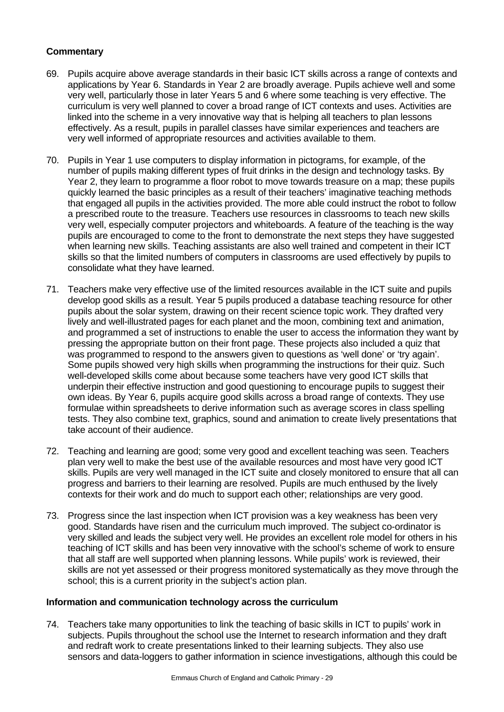# **Commentary**

- 69. Pupils acquire above average standards in their basic ICT skills across a range of contexts and applications by Year 6. Standards in Year 2 are broadly average. Pupils achieve well and some very well, particularly those in later Years 5 and 6 where some teaching is very effective. The curriculum is very well planned to cover a broad range of ICT contexts and uses. Activities are linked into the scheme in a very innovative way that is helping all teachers to plan lessons effectively. As a result, pupils in parallel classes have similar experiences and teachers are very well informed of appropriate resources and activities available to them.
- 70. Pupils in Year 1 use computers to display information in pictograms, for example, of the number of pupils making different types of fruit drinks in the design and technology tasks. By Year 2, they learn to programme a floor robot to move towards treasure on a map; these pupils quickly learned the basic principles as a result of their teachers' imaginative teaching methods that engaged all pupils in the activities provided. The more able could instruct the robot to follow a prescribed route to the treasure. Teachers use resources in classrooms to teach new skills very well, especially computer projectors and whiteboards. A feature of the teaching is the way pupils are encouraged to come to the front to demonstrate the next steps they have suggested when learning new skills. Teaching assistants are also well trained and competent in their ICT skills so that the limited numbers of computers in classrooms are used effectively by pupils to consolidate what they have learned.
- 71. Teachers make very effective use of the limited resources available in the ICT suite and pupils develop good skills as a result. Year 5 pupils produced a database teaching resource for other pupils about the solar system, drawing on their recent science topic work. They drafted very lively and well-illustrated pages for each planet and the moon, combining text and animation, and programmed a set of instructions to enable the user to access the information they want by pressing the appropriate button on their front page. These projects also included a quiz that was programmed to respond to the answers given to questions as 'well done' or 'try again'. Some pupils showed very high skills when programming the instructions for their quiz. Such well-developed skills come about because some teachers have very good ICT skills that underpin their effective instruction and good questioning to encourage pupils to suggest their own ideas. By Year 6, pupils acquire good skills across a broad range of contexts. They use formulae within spreadsheets to derive information such as average scores in class spelling tests. They also combine text, graphics, sound and animation to create lively presentations that take account of their audience.
- 72. Teaching and learning are good; some very good and excellent teaching was seen. Teachers plan very well to make the best use of the available resources and most have very good ICT skills. Pupils are very well managed in the ICT suite and closely monitored to ensure that all can progress and barriers to their learning are resolved. Pupils are much enthused by the lively contexts for their work and do much to support each other; relationships are very good.
- 73. Progress since the last inspection when ICT provision was a key weakness has been very good. Standards have risen and the curriculum much improved. The subject co-ordinator is very skilled and leads the subject very well. He provides an excellent role model for others in his teaching of ICT skills and has been very innovative with the school's scheme of work to ensure that all staff are well supported when planning lessons. While pupils' work is reviewed, their skills are not yet assessed or their progress monitored systematically as they move through the school; this is a current priority in the subject's action plan.

# **Information and communication technology across the curriculum**

74. Teachers take many opportunities to link the teaching of basic skills in ICT to pupils' work in subjects. Pupils throughout the school use the Internet to research information and they draft and redraft work to create presentations linked to their learning subjects. They also use sensors and data-loggers to gather information in science investigations, although this could be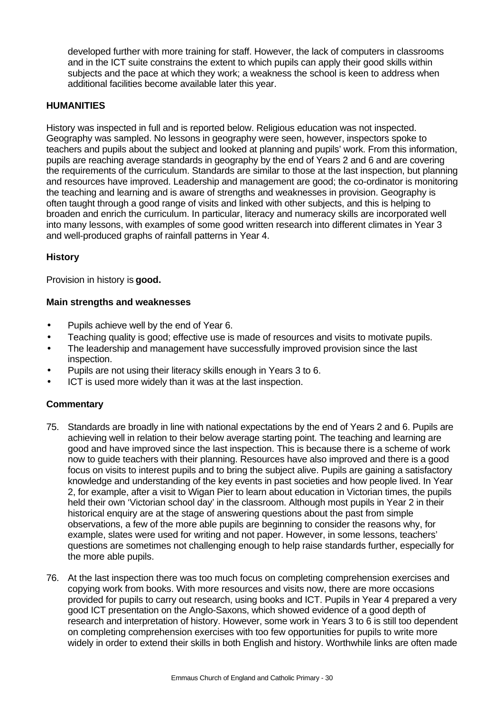developed further with more training for staff. However, the lack of computers in classrooms and in the ICT suite constrains the extent to which pupils can apply their good skills within subjects and the pace at which they work; a weakness the school is keen to address when additional facilities become available later this year.

# **HUMANITIES**

History was inspected in full and is reported below. Religious education was not inspected. Geography was sampled. No lessons in geography were seen, however, inspectors spoke to teachers and pupils about the subject and looked at planning and pupils' work. From this information, pupils are reaching average standards in geography by the end of Years 2 and 6 and are covering the requirements of the curriculum. Standards are similar to those at the last inspection, but planning and resources have improved. Leadership and management are good; the co-ordinator is monitoring the teaching and learning and is aware of strengths and weaknesses in provision. Geography is often taught through a good range of visits and linked with other subjects, and this is helping to broaden and enrich the curriculum. In particular, literacy and numeracy skills are incorporated well into many lessons, with examples of some good written research into different climates in Year 3 and well-produced graphs of rainfall patterns in Year 4.

# **History**

Provision in history is **good.**

# **Main strengths and weaknesses**

- Pupils achieve well by the end of Year 6.
- Teaching quality is good; effective use is made of resources and visits to motivate pupils.
- The leadership and management have successfully improved provision since the last inspection.
- Pupils are not using their literacy skills enough in Years 3 to 6.
- ICT is used more widely than it was at the last inspection.

- 75. Standards are broadly in line with national expectations by the end of Years 2 and 6. Pupils are achieving well in relation to their below average starting point. The teaching and learning are good and have improved since the last inspection. This is because there is a scheme of work now to guide teachers with their planning. Resources have also improved and there is a good focus on visits to interest pupils and to bring the subject alive. Pupils are gaining a satisfactory knowledge and understanding of the key events in past societies and how people lived. In Year 2, for example, after a visit to Wigan Pier to learn about education in Victorian times, the pupils held their own 'Victorian school day' in the classroom. Although most pupils in Year 2 in their historical enquiry are at the stage of answering questions about the past from simple observations, a few of the more able pupils are beginning to consider the reasons why, for example, slates were used for writing and not paper. However, in some lessons, teachers' questions are sometimes not challenging enough to help raise standards further, especially for the more able pupils.
- 76. At the last inspection there was too much focus on completing comprehension exercises and copying work from books. With more resources and visits now, there are more occasions provided for pupils to carry out research, using books and ICT. Pupils in Year 4 prepared a very good ICT presentation on the Anglo-Saxons, which showed evidence of a good depth of research and interpretation of history. However, some work in Years 3 to 6 is still too dependent on completing comprehension exercises with too few opportunities for pupils to write more widely in order to extend their skills in both English and history. Worthwhile links are often made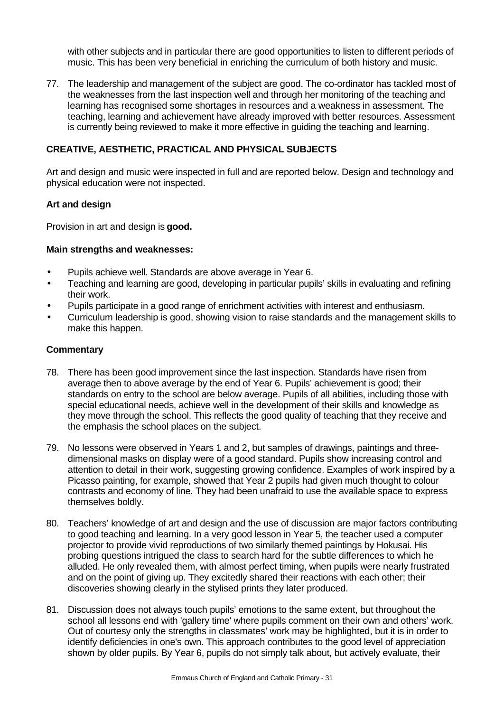with other subjects and in particular there are good opportunities to listen to different periods of music. This has been very beneficial in enriching the curriculum of both history and music.

77. The leadership and management of the subject are good. The co-ordinator has tackled most of the weaknesses from the last inspection well and through her monitoring of the teaching and learning has recognised some shortages in resources and a weakness in assessment. The teaching, learning and achievement have already improved with better resources. Assessment is currently being reviewed to make it more effective in guiding the teaching and learning.

# **CREATIVE, AESTHETIC, PRACTICAL AND PHYSICAL SUBJECTS**

Art and design and music were inspected in full and are reported below. Design and technology and physical education were not inspected.

#### **Art and design**

Provision in art and design is **good.**

#### **Main strengths and weaknesses:**

- Pupils achieve well. Standards are above average in Year 6.
- Teaching and learning are good, developing in particular pupils' skills in evaluating and refining their work.
- Pupils participate in a good range of enrichment activities with interest and enthusiasm.
- Curriculum leadership is good, showing vision to raise standards and the management skills to make this happen.

- 78. There has been good improvement since the last inspection. Standards have risen from average then to above average by the end of Year 6. Pupils' achievement is good; their standards on entry to the school are below average. Pupils of all abilities, including those with special educational needs, achieve well in the development of their skills and knowledge as they move through the school. This reflects the good quality of teaching that they receive and the emphasis the school places on the subject.
- 79. No lessons were observed in Years 1 and 2, but samples of drawings, paintings and threedimensional masks on display were of a good standard. Pupils show increasing control and attention to detail in their work, suggesting growing confidence. Examples of work inspired by a Picasso painting, for example, showed that Year 2 pupils had given much thought to colour contrasts and economy of line. They had been unafraid to use the available space to express themselves boldly.
- 80. Teachers' knowledge of art and design and the use of discussion are major factors contributing to good teaching and learning. In a very good lesson in Year 5, the teacher used a computer projector to provide vivid reproductions of two similarly themed paintings by Hokusai. His probing questions intrigued the class to search hard for the subtle differences to which he alluded. He only revealed them, with almost perfect timing, when pupils were nearly frustrated and on the point of giving up. They excitedly shared their reactions with each other; their discoveries showing clearly in the stylised prints they later produced.
- 81. Discussion does not always touch pupils' emotions to the same extent, but throughout the school all lessons end with 'gallery time' where pupils comment on their own and others' work. Out of courtesy only the strengths in classmates' work may be highlighted, but it is in order to identify deficiencies in one's own. This approach contributes to the good level of appreciation shown by older pupils. By Year 6, pupils do not simply talk about, but actively evaluate, their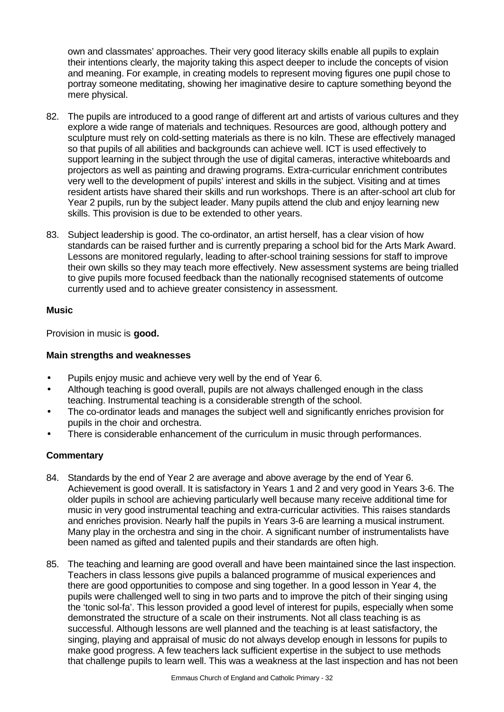own and classmates' approaches. Their very good literacy skills enable all pupils to explain their intentions clearly, the majority taking this aspect deeper to include the concepts of vision and meaning. For example, in creating models to represent moving figures one pupil chose to portray someone meditating, showing her imaginative desire to capture something beyond the mere physical.

- 82. The pupils are introduced to a good range of different art and artists of various cultures and they explore a wide range of materials and techniques. Resources are good, although pottery and sculpture must rely on cold-setting materials as there is no kiln. These are effectively managed so that pupils of all abilities and backgrounds can achieve well. ICT is used effectively to support learning in the subject through the use of digital cameras, interactive whiteboards and projectors as well as painting and drawing programs. Extra-curricular enrichment contributes very well to the development of pupils' interest and skills in the subject. Visiting and at times resident artists have shared their skills and run workshops. There is an after-school art club for Year 2 pupils, run by the subject leader. Many pupils attend the club and enjoy learning new skills. This provision is due to be extended to other years.
- 83. Subject leadership is good. The co-ordinator, an artist herself, has a clear vision of how standards can be raised further and is currently preparing a school bid for the Arts Mark Award. Lessons are monitored regularly, leading to after-school training sessions for staff to improve their own skills so they may teach more effectively. New assessment systems are being trialled to give pupils more focused feedback than the nationally recognised statements of outcome currently used and to achieve greater consistency in assessment.

# **Music**

Provision in music is **good.**

# **Main strengths and weaknesses**

- Pupils enjoy music and achieve very well by the end of Year 6.
- Although teaching is good overall, pupils are not always challenged enough in the class teaching. Instrumental teaching is a considerable strength of the school.
- The co-ordinator leads and manages the subject well and significantly enriches provision for pupils in the choir and orchestra.
- There is considerable enhancement of the curriculum in music through performances.

- 84. Standards by the end of Year 2 are average and above average by the end of Year 6. Achievement is good overall. It is satisfactory in Years 1 and 2 and very good in Years 3-6. The older pupils in school are achieving particularly well because many receive additional time for music in very good instrumental teaching and extra-curricular activities. This raises standards and enriches provision. Nearly half the pupils in Years 3-6 are learning a musical instrument. Many play in the orchestra and sing in the choir. A significant number of instrumentalists have been named as gifted and talented pupils and their standards are often high.
- 85. The teaching and learning are good overall and have been maintained since the last inspection. Teachers in class lessons give pupils a balanced programme of musical experiences and there are good opportunities to compose and sing together. In a good lesson in Year 4, the pupils were challenged well to sing in two parts and to improve the pitch of their singing using the 'tonic sol-fa'. This lesson provided a good level of interest for pupils, especially when some demonstrated the structure of a scale on their instruments. Not all class teaching is as successful. Although lessons are well planned and the teaching is at least satisfactory, the singing, playing and appraisal of music do not always develop enough in lessons for pupils to make good progress. A few teachers lack sufficient expertise in the subject to use methods that challenge pupils to learn well. This was a weakness at the last inspection and has not been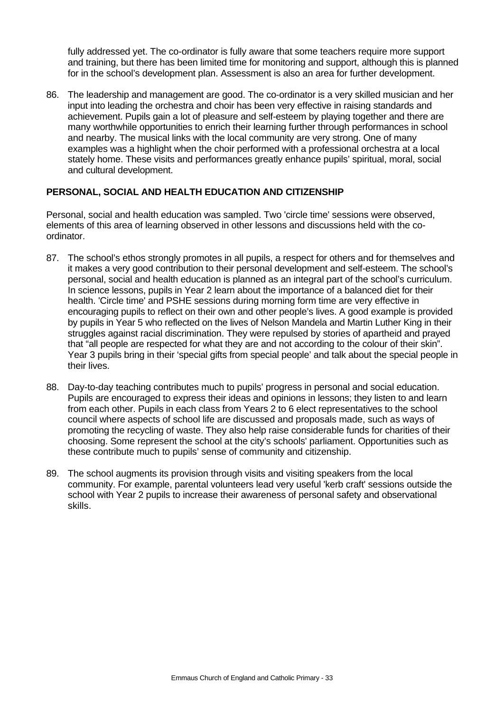fully addressed yet. The co-ordinator is fully aware that some teachers require more support and training, but there has been limited time for monitoring and support, although this is planned for in the school's development plan. Assessment is also an area for further development.

86. The leadership and management are good. The co-ordinator is a very skilled musician and her input into leading the orchestra and choir has been very effective in raising standards and achievement. Pupils gain a lot of pleasure and self-esteem by playing together and there are many worthwhile opportunities to enrich their learning further through performances in school and nearby. The musical links with the local community are very strong. One of many examples was a highlight when the choir performed with a professional orchestra at a local stately home. These visits and performances greatly enhance pupils' spiritual, moral, social and cultural development.

# **PERSONAL, SOCIAL AND HEALTH EDUCATION AND CITIZENSHIP**

Personal, social and health education was sampled. Two 'circle time' sessions were observed, elements of this area of learning observed in other lessons and discussions held with the coordinator.

- 87. The school's ethos strongly promotes in all pupils, a respect for others and for themselves and it makes a very good contribution to their personal development and self-esteem. The school's personal, social and health education is planned as an integral part of the school's curriculum. In science lessons, pupils in Year 2 learn about the importance of a balanced diet for their health. 'Circle time' and PSHE sessions during morning form time are very effective in encouraging pupils to reflect on their own and other people's lives. A good example is provided by pupils in Year 5 who reflected on the lives of Nelson Mandela and Martin Luther King in their struggles against racial discrimination. They were repulsed by stories of apartheid and prayed that "all people are respected for what they are and not according to the colour of their skin". Year 3 pupils bring in their 'special gifts from special people' and talk about the special people in their lives.
- 88. Day-to-day teaching contributes much to pupils' progress in personal and social education. Pupils are encouraged to express their ideas and opinions in lessons; they listen to and learn from each other. Pupils in each class from Years 2 to 6 elect representatives to the school council where aspects of school life are discussed and proposals made, such as ways of promoting the recycling of waste. They also help raise considerable funds for charities of their choosing. Some represent the school at the city's schools' parliament. Opportunities such as these contribute much to pupils' sense of community and citizenship.
- 89. The school augments its provision through visits and visiting speakers from the local community. For example, parental volunteers lead very useful 'kerb craft' sessions outside the school with Year 2 pupils to increase their awareness of personal safety and observational skills.